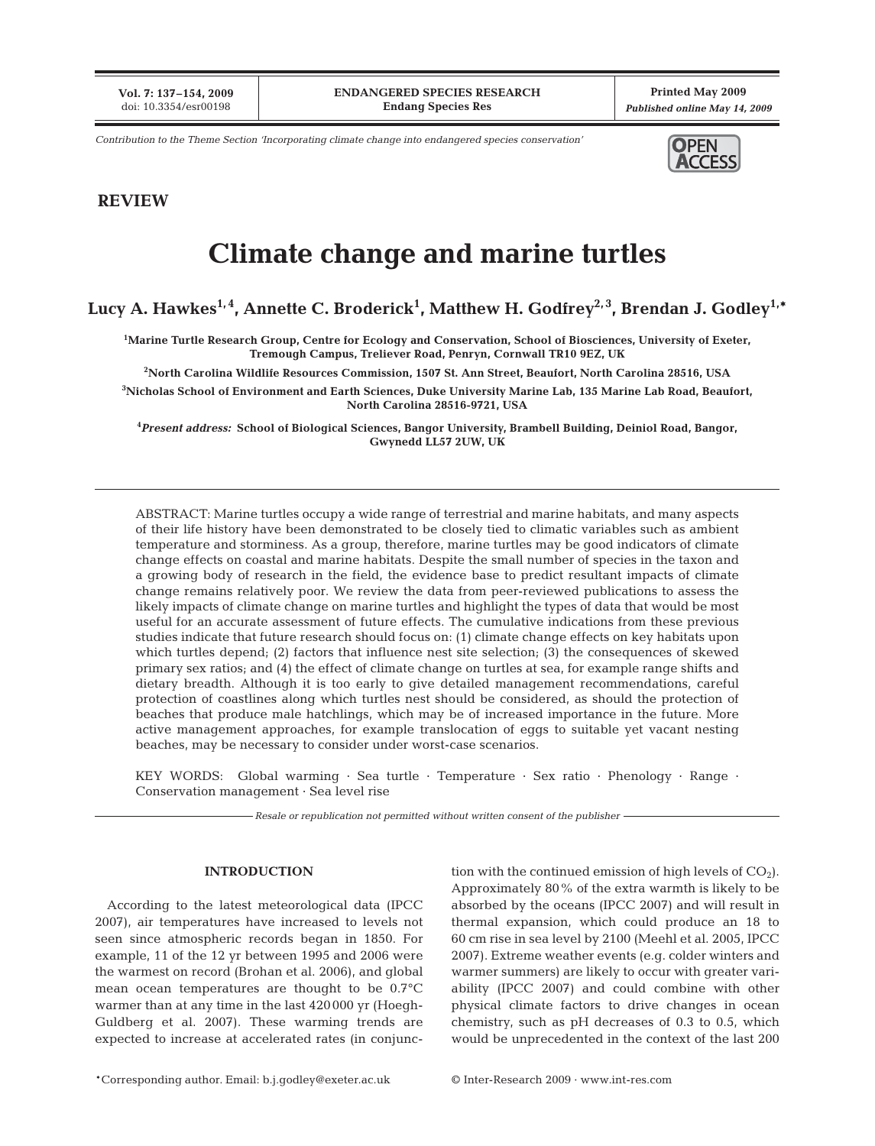**Vol. 7: 137–154, 2009** doi: 10.3354/esr00198

**Printed May 2009** *Published online May 14, 2009*

*Contribution to the Theme Section 'Incorporating climate change into endangered species conservation'* **OPEN** 



# **REVIEW**

# **Climate change and marine turtles**

# Lucy A. Hawkes<sup>1,4</sup>, Annette C. Broderick<sup>1</sup>, Matthew H. Godfrey<sup>2,3</sup>, Brendan J. Godley<sup>1,</sup>\*

**1 Marine Turtle Research Group, Centre for Ecology and Conservation, School of Biosciences, University of Exeter, Tremough Campus, Treliever Road, Penryn, Cornwall TR10 9EZ, UK**

**2 North Carolina Wildlife Resources Commission, 1507 St. Ann Street, Beaufort, North Carolina 28516, USA**

**3 Nicholas School of Environment and Earth Sciences, Duke University Marine Lab, 135 Marine Lab Road, Beaufort, North Carolina 28516-9721, USA**

**4** *Present address:* **School of Biological Sciences, Bangor University, Brambell Building, Deiniol Road, Bangor, Gwynedd LL57 2UW, UK**

ABSTRACT: Marine turtles occupy a wide range of terrestrial and marine habitats, and many aspects of their life history have been demonstrated to be closely tied to climatic variables such as ambient temperature and storminess. As a group, therefore, marine turtles may be good indicators of climate change effects on coastal and marine habitats. Despite the small number of species in the taxon and a growing body of research in the field, the evidence base to predict resultant impacts of climate change remains relatively poor. We review the data from peer-reviewed publications to assess the likely impacts of climate change on marine turtles and highlight the types of data that would be most useful for an accurate assessment of future effects. The cumulative indications from these previous studies indicate that future research should focus on: (1) climate change effects on key habitats upon which turtles depend; (2) factors that influence nest site selection; (3) the consequences of skewed primary sex ratios; and (4) the effect of climate change on turtles at sea, for example range shifts and dietary breadth. Although it is too early to give detailed management recommendations, careful protection of coastlines along which turtles nest should be considered, as should the protection of beaches that produce male hatchlings, which may be of increased importance in the future. More active management approaches, for example translocation of eggs to suitable yet vacant nesting beaches, may be necessary to consider under worst-case scenarios.

KEY WORDS: Global warming · Sea turtle · Temperature · Sex ratio · Phenology · Range · Conservation management · Sea level rise

*Resale or republication not permitted without written consent of the publisher*

# **INTRODUCTION**

According to the latest meteorological data (IPCC 2007), air temperatures have increased to levels not seen since atmospheric records began in 1850. For example, 11 of the 12 yr between 1995 and 2006 were the warmest on record (Brohan et al. 2006), and global mean ocean temperatures are thought to be 0.7°C warmer than at any time in the last 420 000 yr (Hoegh-Guldberg et al. 2007). These warming trends are expected to increase at accelerated rates (in conjunction with the continued emission of high levels of  $CO<sub>2</sub>$ ). Approximately 80% of the extra warmth is likely to be absorbed by the oceans (IPCC 2007) and will result in thermal expansion, which could produce an 18 to 60 cm rise in sea level by 2100 (Meehl et al. 2005, IPCC 2007). Extreme weather events (e.g. colder winters and warmer summers) are likely to occur with greater variability (IPCC 2007) and could combine with other physical climate factors to drive changes in ocean chemistry, such as pH decreases of 0.3 to 0.5, which would be unprecedented in the context of the last 200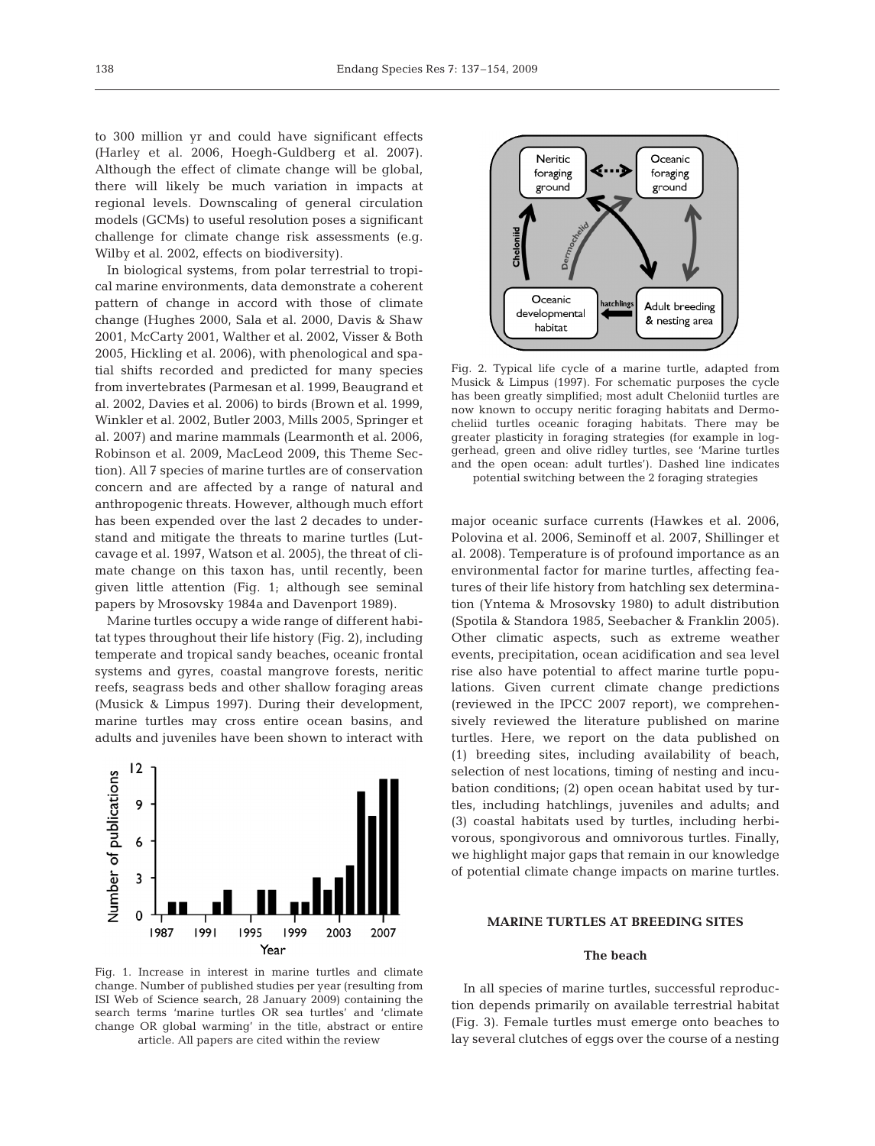to 300 million yr and could have significant effects (Harley et al. 2006, Hoegh-Guldberg et al. 2007). Although the effect of climate change will be global, there will likely be much variation in impacts at regional levels. Downscaling of general circulation models (GCMs) to useful resolution poses a significant challenge for climate change risk assessments (e.g. Wilby et al. 2002, effects on biodiversity).

In biological systems, from polar terrestrial to tropical marine environments, data demonstrate a coherent pattern of change in accord with those of climate change (Hughes 2000, Sala et al. 2000, Davis & Shaw 2001, McCarty 2001, Walther et al. 2002, Visser & Both 2005, Hickling et al. 2006), with phenological and spatial shifts recorded and predicted for many species from invertebrates (Parmesan et al. 1999, Beaugrand et al. 2002, Davies et al. 2006) to birds (Brown et al. 1999, Winkler et al. 2002, Butler 2003, Mills 2005, Springer et al. 2007) and marine mammals (Learmonth et al. 2006, Robinson et al. 2009, MacLeod 2009, this Theme Section). All 7 species of marine turtles are of conservation concern and are affected by a range of natural and anthropogenic threats. However, although much effort has been expended over the last 2 decades to understand and mitigate the threats to marine turtles (Lutcavage et al. 1997, Watson et al. 2005), the threat of climate change on this taxon has, until recently, been given little attention (Fig. 1; although see seminal papers by Mrosovsky 1984a and Davenport 1989).

Marine turtles occupy a wide range of different habitat types throughout their life history (Fig. 2), including temperate and tropical sandy beaches, oceanic frontal systems and gyres, coastal mangrove forests, neritic reefs, seagrass beds and other shallow foraging areas (Musick & Limpus 1997). During their development, marine turtles may cross entire ocean basins, and adults and juveniles have been shown to interact with



Fig. 1. Increase in interest in marine turtles and climate change. Number of published studies per year (resulting from ISI Web of Science search, 28 January 2009) containing the search terms 'marine turtles OR sea turtles' and 'climate change OR global warming' in the title, abstract or entire article. All papers are cited within the review



Fig. 2. Typical life cycle of a marine turtle, adapted from Musick & Limpus (1997). For schematic purposes the cycle has been greatly simplified; most adult Cheloniid turtles are now known to occupy neritic foraging habitats and Dermocheliid turtles oceanic foraging habitats. There may be greater plasticity in foraging strategies (for example in loggerhead, green and olive ridley turtles, see 'Marine turtles and the open ocean: adult turtles'). Dashed line indicates potential switching between the 2 foraging strategies

major oceanic surface currents (Hawkes et al. 2006, Polovina et al. 2006, Seminoff et al. 2007, Shillinger et al. 2008). Temperature is of profound importance as an environmental factor for marine turtles, affecting features of their life history from hatchling sex determination (Yntema & Mrosovsky 1980) to adult distribution (Spotila & Standora 1985, Seebacher & Franklin 2005). Other climatic aspects, such as extreme weather events, precipitation, ocean acidification and sea level rise also have potential to affect marine turtle populations. Given current climate change predictions (reviewed in the IPCC 2007 report), we comprehensively reviewed the literature published on marine turtles. Here, we report on the data published on (1) breeding sites, including availability of beach, selection of nest locations, timing of nesting and incubation conditions; (2) open ocean habitat used by turtles, including hatchlings, juveniles and adults; and (3) coastal habitats used by turtles, including herbivorous, spongivorous and omnivorous turtles. Finally, we highlight major gaps that remain in our knowledge of potential climate change impacts on marine turtles.

# **MARINE TURTLES AT BREEDING SITES**

#### **The beach**

In all species of marine turtles, successful reproduction depends primarily on available terrestrial habitat (Fig. 3). Female turtles must emerge onto beaches to lay several clutches of eggs over the course of a nesting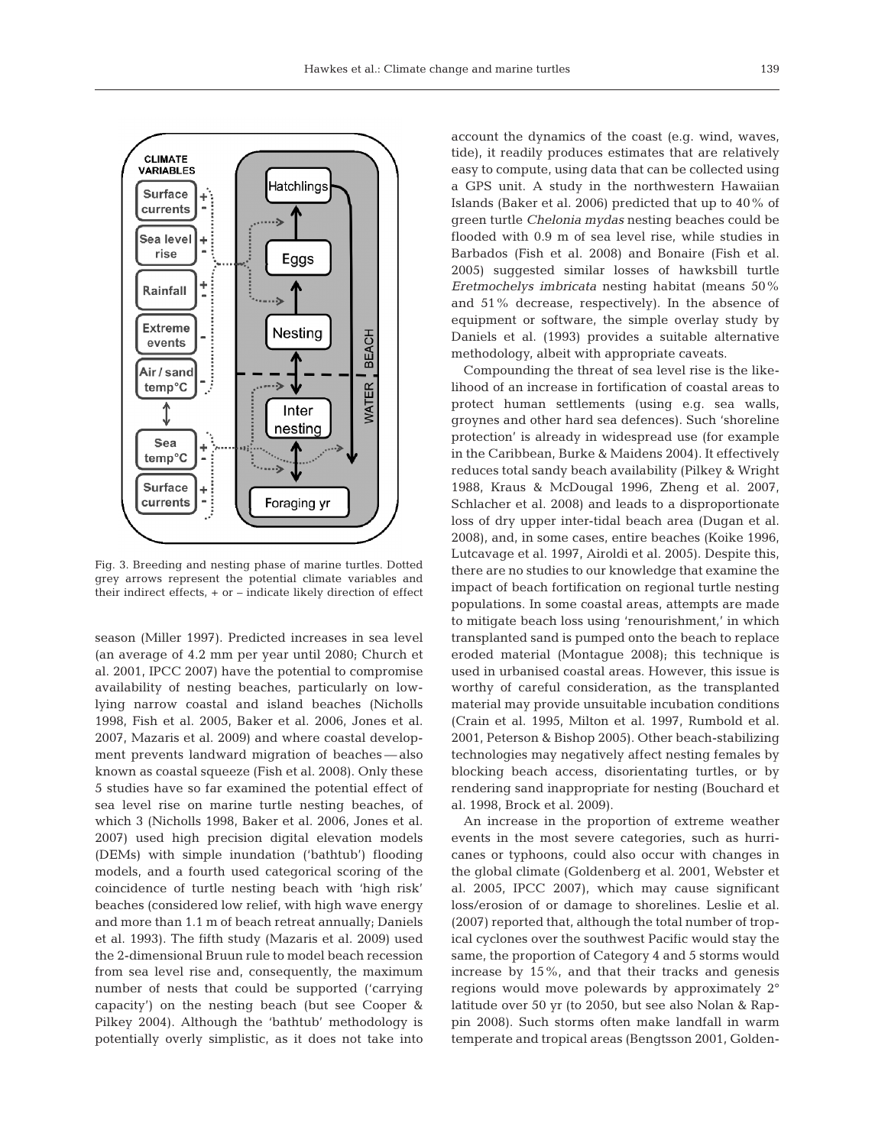

Fig. 3. Breeding and nesting phase of marine turtles. Dotted grey arrows represent the potential climate variables and their indirect effects, + or – indicate likely direction of effect

season (Miller 1997). Predicted increases in sea level (an average of 4.2 mm per year until 2080; Church et al. 2001, IPCC 2007) have the potential to compromise availability of nesting beaches, particularly on lowlying narrow coastal and island beaches (Nicholls 1998, Fish et al. 2005, Baker et al. 2006, Jones et al. 2007, Mazaris et al. 2009) and where coastal development prevents landward migration of beaches — also known as coastal squeeze (Fish et al. 2008). Only these 5 studies have so far examined the potential effect of sea level rise on marine turtle nesting beaches, of which 3 (Nicholls 1998, Baker et al. 2006, Jones et al. 2007) used high precision digital elevation models (DEMs) with simple inundation ('bathtub') flooding models, and a fourth used categorical scoring of the coincidence of turtle nesting beach with 'high risk' beaches (considered low relief, with high wave energy and more than 1.1 m of beach retreat annually; Daniels et al. 1993). The fifth study (Mazaris et al. 2009) used the 2-dimensional Bruun rule to model beach recession from sea level rise and, consequently, the maximum number of nests that could be supported ('carrying capacity') on the nesting beach (but see Cooper & Pilkey 2004). Although the 'bathtub' methodology is potentially overly simplistic, as it does not take into account the dynamics of the coast (e.g. wind, waves, tide), it readily produces estimates that are relatively easy to compute, using data that can be collected using a GPS unit. A study in the northwestern Hawaiian Islands (Baker et al. 2006) predicted that up to 40% of green turtle *Chelonia mydas* nesting beaches could be flooded with 0.9 m of sea level rise, while studies in Barbados (Fish et al. 2008) and Bonaire (Fish et al. 2005) suggested similar losses of hawksbill turtle *Eretmochelys imbricata* nesting habitat (means 50% and 51% decrease, respectively). In the absence of equipment or software, the simple overlay study by Daniels et al. (1993) provides a suitable alternative methodology, albeit with appropriate caveats.

Compounding the threat of sea level rise is the likelihood of an increase in fortification of coastal areas to protect human settlements (using e.g. sea walls, groynes and other hard sea defences). Such 'shoreline protection' is already in widespread use (for example in the Caribbean, Burke & Maidens 2004). It effectively reduces total sandy beach availability (Pilkey & Wright 1988, Kraus & McDougal 1996, Zheng et al. 2007, Schlacher et al. 2008) and leads to a disproportionate loss of dry upper inter-tidal beach area (Dugan et al. 2008), and, in some cases, entire beaches (Koike 1996, Lutcavage et al. 1997, Airoldi et al. 2005). Despite this, there are no studies to our knowledge that examine the impact of beach fortification on regional turtle nesting populations. In some coastal areas, attempts are made to mitigate beach loss using 'renourishment,' in which transplanted sand is pumped onto the beach to replace eroded material (Montague 2008); this technique is used in urbanised coastal areas. However, this issue is worthy of careful consideration, as the transplanted material may provide unsuitable incubation conditions (Crain et al. 1995, Milton et al. 1997, Rumbold et al. 2001, Peterson & Bishop 2005). Other beach-stabilizing technologies may negatively affect nesting females by blocking beach access, disorientating turtles, or by rendering sand inappropriate for nesting (Bouchard et al. 1998, Brock et al. 2009).

An increase in the proportion of extreme weather events in the most severe categories, such as hurricanes or typhoons, could also occur with changes in the global climate (Goldenberg et al. 2001, Webster et al. 2005, IPCC 2007), which may cause significant loss/erosion of or damage to shorelines. Leslie et al. (2007) reported that, although the total number of tropical cyclones over the southwest Pacific would stay the same, the proportion of Category 4 and 5 storms would increase by 15%, and that their tracks and genesis regions would move polewards by approximately 2° latitude over 50 yr (to 2050, but see also Nolan & Rappin 2008). Such storms often make landfall in warm temperate and tropical areas (Bengtsson 2001, Golden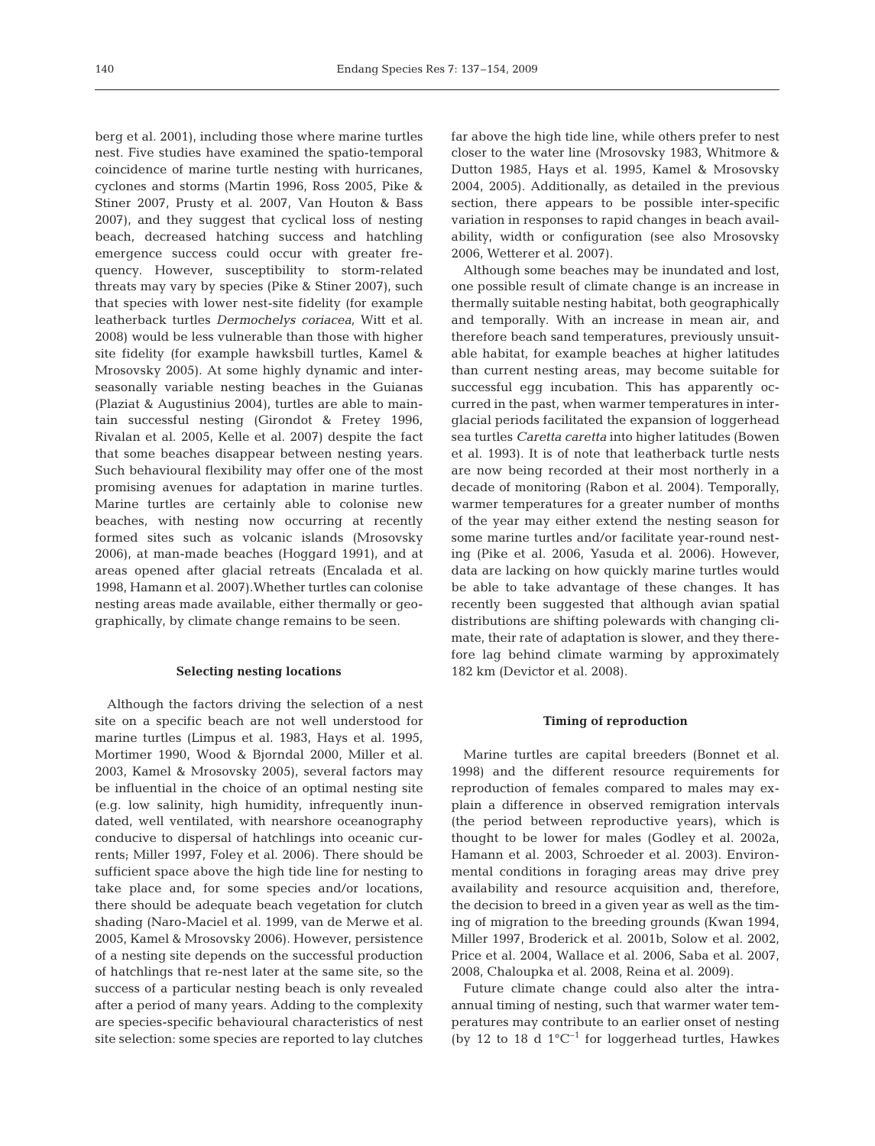berg et al. 2001), including those where marine turtles nest. Five studies have examined the spatio-temporal coincidence of marine turtle nesting with hurricanes, cyclones and storms (Martin 1996, Ross 2005, Pike & Stiner 2007, Prusty et al. 2007, Van Houton & Bass 2007), and they suggest that cyclical loss of nesting beach, decreased hatching success and hatchling emergence success could occur with greater frequency. However, susceptibility to storm-related threats may vary by species (Pike & Stiner 2007), such that species with lower nest-site fidelity (for example leatherback turtles *Dermochelys coriacea*, Witt et al. 2008) would be less vulnerable than those with higher site fidelity (for example hawksbill turtles, Kamel & Mrosovsky 2005). At some highly dynamic and interseasonally variable nesting beaches in the Guianas (Plaziat & Augustinius 2004), turtles are able to maintain successful nesting (Girondot & Fretey 1996, Rivalan et al. 2005, Kelle et al. 2007) despite the fact that some beaches disappear between nesting years. Such behavioural flexibility may offer one of the most promising avenues for adaptation in marine turtles. Marine turtles are certainly able to colonise new beaches, with nesting now occurring at recently formed sites such as volcanic islands (Mrosovsky 2006), at man-made beaches (Hoggard 1991), and at areas opened after glacial retreats (Encalada et al. 1998, Hamann et al. 2007).Whether turtles can colonise nesting areas made available, either thermally or geographically, by climate change remains to be seen.

#### **Selecting nesting locations**

Although the factors driving the selection of a nest site on a specific beach are not well understood for marine turtles (Limpus et al. 1983, Hays et al. 1995, Mortimer 1990, Wood & Bjorndal 2000, Miller et al. 2003, Kamel & Mrosovsky 2005), several factors may be influential in the choice of an optimal nesting site (e.g. low salinity, high humidity, infrequently inundated, well ventilated, with nearshore oceanography conducive to dispersal of hatchlings into oceanic currents; Miller 1997, Foley et al. 2006). There should be sufficient space above the high tide line for nesting to take place and, for some species and/or locations, there should be adequate beach vegetation for clutch shading (Naro-Maciel et al. 1999, van de Merwe et al. 2005, Kamel & Mrosovsky 2006). However, persistence of a nesting site depends on the successful production of hatchlings that re-nest later at the same site, so the success of a particular nesting beach is only revealed after a period of many years. Adding to the complexity are species-specific behavioural characteristics of nest site selection: some species are reported to lay clutches far above the high tide line, while others prefer to nest closer to the water line (Mrosovsky 1983, Whitmore & Dutton 1985, Hays et al. 1995, Kamel & Mrosovsky 2004, 2005). Additionally, as detailed in the previous section, there appears to be possible inter-specific variation in responses to rapid changes in beach availability, width or configuration (see also Mrosovsky 2006, Wetterer et al. 2007).

Although some beaches may be inundated and lost, one possible result of climate change is an increase in thermally suitable nesting habitat, both geographically and temporally. With an increase in mean air, and therefore beach sand temperatures, previously unsuitable habitat, for example beaches at higher latitudes than current nesting areas, may become suitable for successful egg incubation. This has apparently occurred in the past, when warmer temperatures in interglacial periods facilitated the expansion of loggerhead sea turtles *Caretta caretta* into higher latitudes (Bowen et al. 1993). It is of note that leatherback turtle nests are now being recorded at their most northerly in a decade of monitoring (Rabon et al. 2004). Temporally, warmer temperatures for a greater number of months of the year may either extend the nesting season for some marine turtles and/or facilitate year-round nesting (Pike et al. 2006, Yasuda et al. 2006). However, data are lacking on how quickly marine turtles would be able to take advantage of these changes. It has recently been suggested that although avian spatial distributions are shifting polewards with changing climate, their rate of adaptation is slower, and they therefore lag behind climate warming by approximately 182 km (Devictor et al. 2008).

#### **Timing of reproduction**

Marine turtles are capital breeders (Bonnet et al. 1998) and the different resource requirements for reproduction of females compared to males may explain a difference in observed remigration intervals (the period between reproductive years), which is thought to be lower for males (Godley et al. 2002a, Hamann et al. 2003, Schroeder et al. 2003). Environmental conditions in foraging areas may drive prey availability and resource acquisition and, therefore, the decision to breed in a given year as well as the timing of migration to the breeding grounds (Kwan 1994, Miller 1997, Broderick et al. 2001b, Solow et al. 2002, Price et al. 2004, Wallace et al. 2006, Saba et al. 2007, 2008, Chaloupka et al. 2008, Reina et al. 2009).

Future climate change could also alter the intraannual timing of nesting, such that warmer water temperatures may contribute to an earlier onset of nesting (by 12 to 18 d  $1^{\circ}C^{-1}$  for loggerhead turtles, Hawkes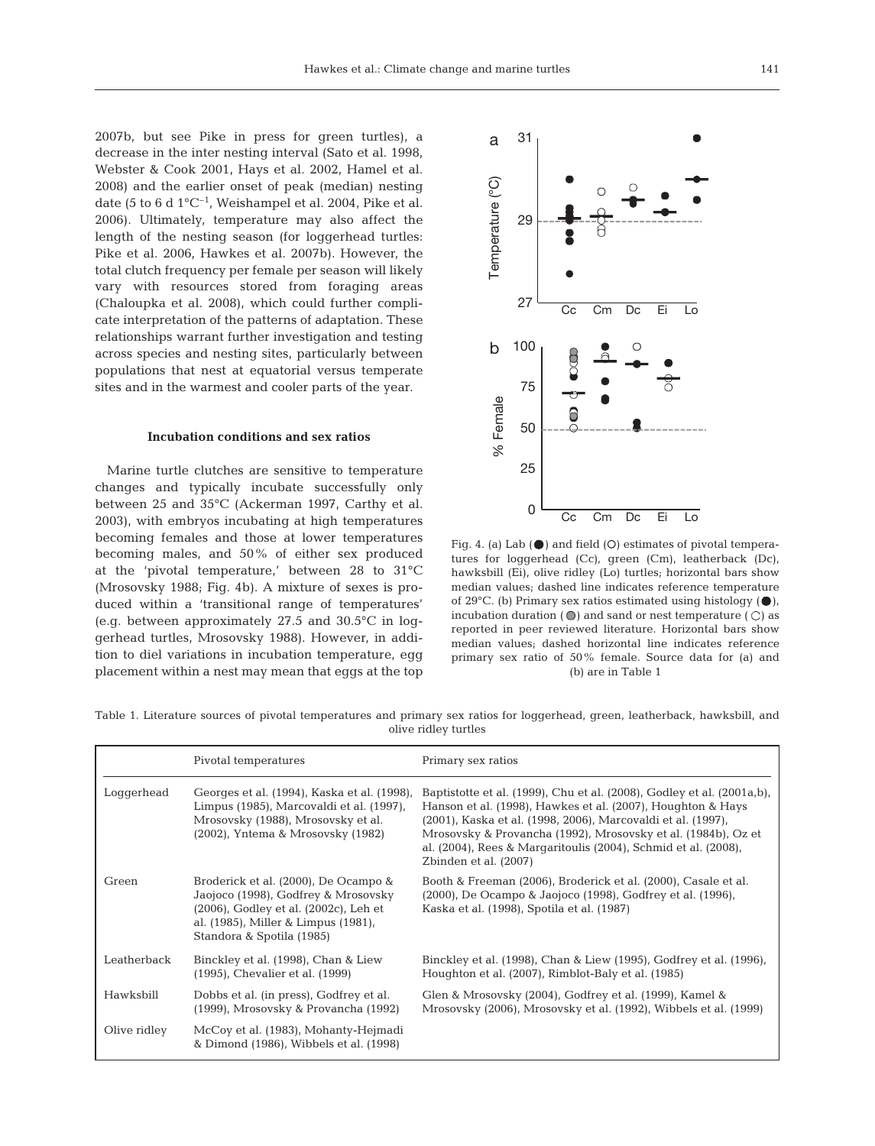2007b, but see Pike in press for green turtles), a decrease in the inter nesting interval (Sato et al. 1998, Webster & Cook 2001, Hays et al. 2002, Hamel et al. 2008) and the earlier onset of peak (median) nesting date (5 to 6 d  $1^{\circ}$ C<sup>-1</sup>, Weishampel et al. 2004, Pike et al. 2006). Ultimately, temperature may also affect the length of the nesting season (for loggerhead turtles: Pike et al. 2006, Hawkes et al. 2007b). However, the total clutch frequency per female per season will likely vary with resources stored from foraging areas (Chaloupka et al. 2008), which could further complicate interpretation of the patterns of adaptation. These relationships warrant further investigation and testing across species and nesting sites, particularly between populations that nest at equatorial versus temperate sites and in the warmest and cooler parts of the year.

#### **Incubation conditions and sex ratios**

Marine turtle clutches are sensitive to temperature changes and typically incubate successfully only between 25 and 35°C (Ackerman 1997, Carthy et al. 2003), with embryos incubating at high temperatures becoming females and those at lower temperatures becoming males, and 50% of either sex produced at the 'pivotal temperature,' between 28 to 31°C (Mrosovsky 1988; Fig. 4b). A mixture of sexes is produced within a 'transitional range of temperatures' (e.g. between approximately 27.5 and 30.5°C in loggerhead turtles, Mrosovsky 1988). However, in addition to diel variations in incubation temperature, egg placement within a nest may mean that eggs at the top



Fig. 4. (a) Lab  $(\bullet)$  and field  $(O)$  estimates of pivotal temperatures for loggerhead (Cc), green (Cm), leatherback (Dc), hawksbill (Ei), olive ridley (Lo) turtles; horizontal bars show median values; dashed line indicates reference temperature of 29 $^{\circ}$ C. (b) Primary sex ratios estimated using histology ( $\bullet$ ), incubation duration  $( \bigcirc )$  and sand or nest temperature  $( \bigcirc )$  as reported in peer reviewed literature. Horizontal bars show median values; dashed horizontal line indicates reference primary sex ratio of 50% female. Source data for (a) and (b) are in Table 1

| Table 1. Literature sources of pivotal temperatures and primary sex ratios for loggerhead, green, leatherback, hawksbill, and |  |  |  |  |  |  |
|-------------------------------------------------------------------------------------------------------------------------------|--|--|--|--|--|--|
| olive ridley turtles                                                                                                          |  |  |  |  |  |  |
|                                                                                                                               |  |  |  |  |  |  |

|              | Pivotal temperatures                                                                                                                                                                     | Primary sex ratios                                                                                                                                                                                                                                                                                                                                                |
|--------------|------------------------------------------------------------------------------------------------------------------------------------------------------------------------------------------|-------------------------------------------------------------------------------------------------------------------------------------------------------------------------------------------------------------------------------------------------------------------------------------------------------------------------------------------------------------------|
| Loggerhead   | Georges et al. (1994), Kaska et al. (1998),<br>Limpus (1985), Marcovaldi et al. (1997),<br>Mrosovsky (1988), Mrosovsky et al.<br>(2002), Yntema & Mrosovsky (1982)                       | Baptistotte et al. (1999), Chu et al. (2008), Godley et al. (2001a,b),<br>Hanson et al. (1998), Hawkes et al. (2007), Houghton & Hays<br>(2001), Kaska et al. (1998, 2006), Marcovaldi et al. (1997),<br>Mrosovsky & Provancha (1992), Mrosovsky et al. (1984b), Oz et<br>al. (2004), Rees & Margaritoulis (2004), Schmid et al. (2008),<br>Zbinden et al. (2007) |
| Green        | Broderick et al. (2000), De Ocampo &<br>Jaojoco (1998), Godfrey & Mrosovsky<br>(2006), Godley et al. (2002c), Leh et<br>al. (1985), Miller & Limpus (1981),<br>Standora & Spotila (1985) | Booth & Freeman (2006), Broderick et al. (2000), Casale et al.<br>(2000), De Ocampo & Jaojoco (1998), Godfrey et al. (1996),<br>Kaska et al. (1998), Spotila et al. (1987)                                                                                                                                                                                        |
| Leatherback  | Binckley et al. (1998), Chan & Liew<br>(1995), Chevalier et al. (1999)                                                                                                                   | Binckley et al. (1998), Chan & Liew (1995), Godfrey et al. (1996),<br>Houghton et al. (2007), Rimblot-Baly et al. (1985)                                                                                                                                                                                                                                          |
| Hawksbill    | Dobbs et al. (in press), Godfrey et al.<br>(1999), Mrosovsky & Provancha (1992)                                                                                                          | Glen & Mrosovsky (2004), Godfrey et al. (1999), Kamel &<br>Mrosovsky (2006), Mrosovsky et al. (1992), Wibbels et al. (1999)                                                                                                                                                                                                                                       |
| Olive ridley | McCoy et al. (1983), Mohanty-Hejmadi<br>& Dimond (1986), Wibbels et al. (1998)                                                                                                           |                                                                                                                                                                                                                                                                                                                                                                   |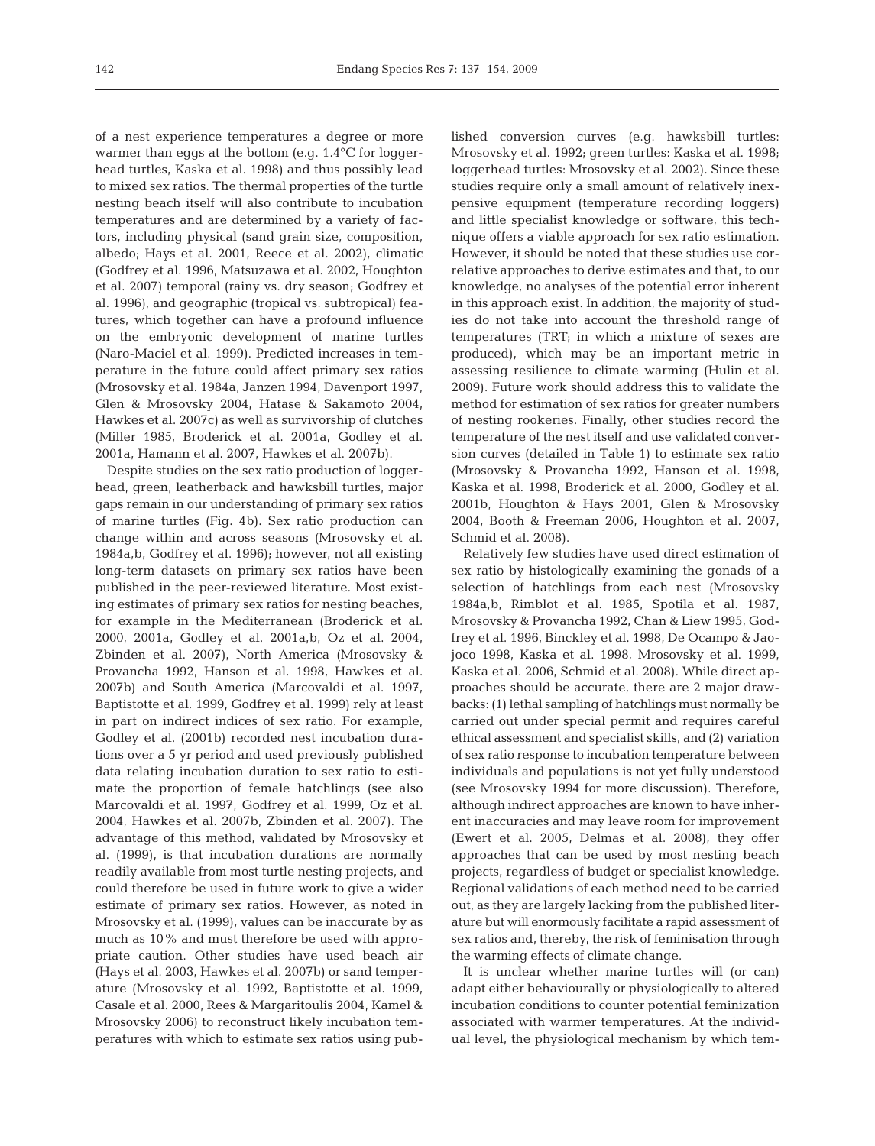of a nest experience temperatures a degree or more warmer than eggs at the bottom (e.g. 1.4°C for loggerhead turtles, Kaska et al. 1998) and thus possibly lead to mixed sex ratios. The thermal properties of the turtle nesting beach itself will also contribute to incubation temperatures and are determined by a variety of factors, including physical (sand grain size, composition, albedo; Hays et al. 2001, Reece et al. 2002), climatic (Godfrey et al. 1996, Matsuzawa et al. 2002, Houghton et al. 2007) temporal (rainy vs. dry season; Godfrey et al. 1996), and geographic (tropical vs. subtropical) features, which together can have a profound influence on the embryonic development of marine turtles (Naro-Maciel et al. 1999). Predicted increases in temperature in the future could affect primary sex ratios (Mrosovsky et al. 1984a, Janzen 1994, Davenport 1997, Glen & Mrosovsky 2004, Hatase & Sakamoto 2004, Hawkes et al. 2007c) as well as survivorship of clutches (Miller 1985, Broderick et al. 2001a, Godley et al. 2001a, Hamann et al. 2007, Hawkes et al. 2007b).

Despite studies on the sex ratio production of loggerhead, green, leatherback and hawksbill turtles, major gaps remain in our understanding of primary sex ratios of marine turtles (Fig. 4b). Sex ratio production can change within and across seasons (Mrosovsky et al. 1984a,b, Godfrey et al. 1996); however, not all existing long-term datasets on primary sex ratios have been published in the peer-reviewed literature. Most existing estimates of primary sex ratios for nesting beaches, for example in the Mediterranean (Broderick et al. 2000, 2001a, Godley et al. 2001a,b, Oz et al. 2004, Zbinden et al. 2007), North America (Mrosovsky & Provancha 1992, Hanson et al. 1998, Hawkes et al. 2007b) and South America (Marcovaldi et al. 1997, Baptistotte et al. 1999, Godfrey et al. 1999) rely at least in part on indirect indices of sex ratio. For example, Godley et al. (2001b) recorded nest incubation durations over a 5 yr period and used previously published data relating incubation duration to sex ratio to estimate the proportion of female hatchlings (see also Marcovaldi et al. 1997, Godfrey et al. 1999, Oz et al. 2004, Hawkes et al. 2007b, Zbinden et al. 2007). The advantage of this method, validated by Mrosovsky et al. (1999), is that incubation durations are normally readily available from most turtle nesting projects, and could therefore be used in future work to give a wider estimate of primary sex ratios. However, as noted in Mrosovsky et al. (1999), values can be inaccurate by as much as 10% and must therefore be used with appropriate caution. Other studies have used beach air (Hays et al. 2003, Hawkes et al. 2007b) or sand temperature (Mrosovsky et al. 1992, Baptistotte et al. 1999, Casale et al. 2000, Rees & Margaritoulis 2004, Kamel & Mrosovsky 2006) to reconstruct likely incubation temperatures with which to estimate sex ratios using published conversion curves (e.g. hawksbill turtles: Mrosovsky et al. 1992; green turtles: Kaska et al. 1998; loggerhead turtles: Mrosovsky et al. 2002). Since these studies require only a small amount of relatively inexpensive equipment (temperature recording loggers) and little specialist knowledge or software, this technique offers a viable approach for sex ratio estimation. However, it should be noted that these studies use correlative approaches to derive estimates and that, to our knowledge, no analyses of the potential error inherent in this approach exist. In addition, the majority of studies do not take into account the threshold range of temperatures (TRT; in which a mixture of sexes are produced), which may be an important metric in assessing resilience to climate warming (Hulin et al. 2009). Future work should address this to validate the method for estimation of sex ratios for greater numbers of nesting rookeries. Finally, other studies record the temperature of the nest itself and use validated conversion curves (detailed in Table 1) to estimate sex ratio (Mrosovsky & Provancha 1992, Hanson et al. 1998, Kaska et al. 1998, Broderick et al. 2000, Godley et al. 2001b, Houghton & Hays 2001, Glen & Mrosovsky 2004, Booth & Freeman 2006, Houghton et al. 2007, Schmid et al. 2008).

Relatively few studies have used direct estimation of sex ratio by histologically examining the gonads of a selection of hatchlings from each nest (Mrosovsky 1984a,b, Rimblot et al. 1985, Spotila et al. 1987, Mrosovsky & Provancha 1992, Chan & Liew 1995, Godfrey et al. 1996, Binckley et al. 1998, De Ocampo & Jaojoco 1998, Kaska et al. 1998, Mrosovsky et al. 1999, Kaska et al. 2006, Schmid et al. 2008). While direct approaches should be accurate, there are 2 major drawbacks: (1) lethal sampling of hatchlings must normally be carried out under special permit and requires careful ethical assessment and specialist skills, and (2) variation of sex ratio response to incubation temperature between individuals and populations is not yet fully understood (see Mrosovsky 1994 for more discussion). Therefore, although indirect approaches are known to have inherent inaccuracies and may leave room for improvement (Ewert et al. 2005, Delmas et al. 2008), they offer approaches that can be used by most nesting beach projects, regardless of budget or specialist knowledge. Regional validations of each method need to be carried out, as they are largely lacking from the published literature but will enormously facilitate a rapid assessment of sex ratios and, thereby, the risk of feminisation through the warming effects of climate change.

It is unclear whether marine turtles will (or can) adapt either behaviourally or physiologically to altered incubation conditions to counter potential feminization associated with warmer temperatures. At the individual level, the physiological mechanism by which tem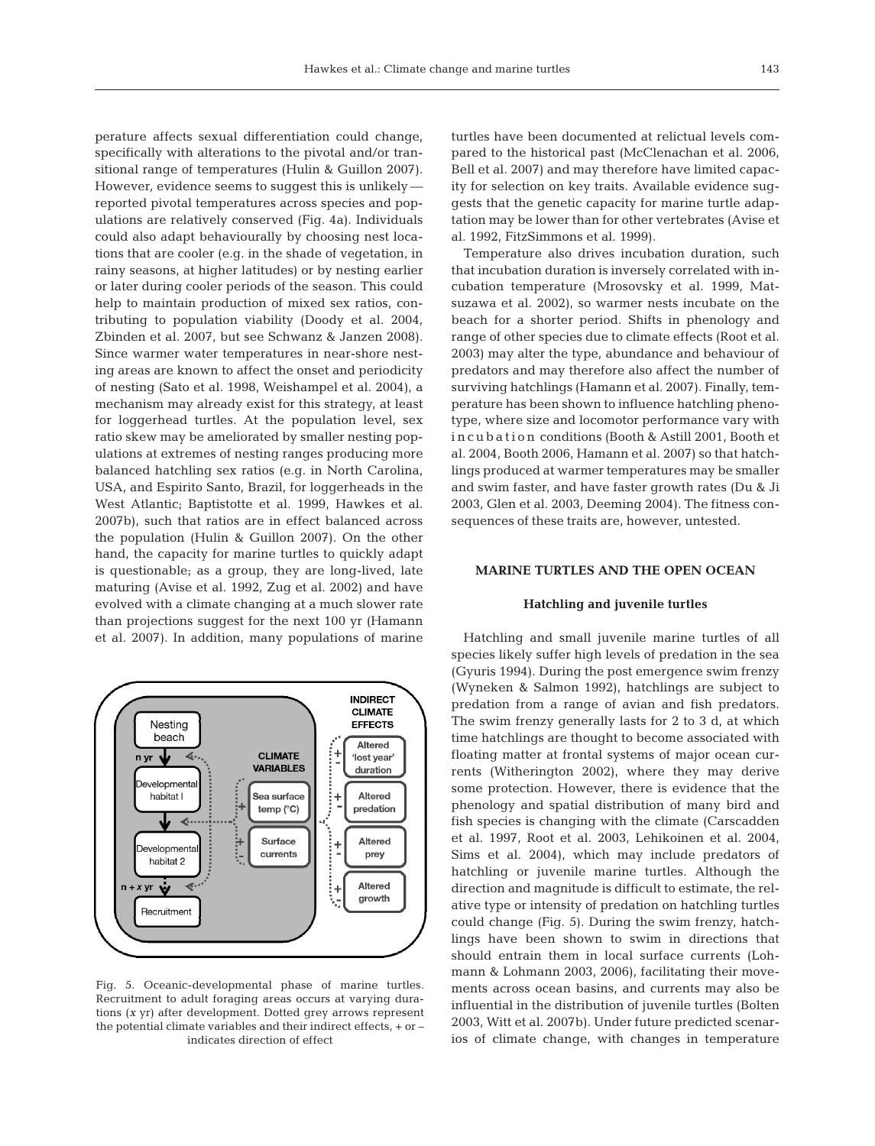perature affects sexual differentiation could change, specifically with alterations to the pivotal and/or transitional range of temperatures (Hulin & Guillon 2007). However, evidence seems to suggest this is unlikely reported pivotal temperatures across species and populations are relatively conserved (Fig. 4a). Individuals could also adapt behaviourally by choosing nest locations that are cooler (e.g. in the shade of vegetation, in rainy seasons, at higher latitudes) or by nesting earlier or later during cooler periods of the season. This could help to maintain production of mixed sex ratios, contributing to population viability (Doody et al. 2004, Zbinden et al. 2007, but see Schwanz & Janzen 2008). Since warmer water temperatures in near-shore nesting areas are known to affect the onset and periodicity of nesting (Sato et al. 1998, Weishampel et al. 2004), a mechanism may already exist for this strategy, at least for loggerhead turtles. At the population level, sex ratio skew may be ameliorated by smaller nesting populations at extremes of nesting ranges producing more balanced hatchling sex ratios (e.g. in North Carolina, USA, and Espirito Santo, Brazil, for loggerheads in the West Atlantic; Baptistotte et al. 1999, Hawkes et al. 2007b), such that ratios are in effect balanced across the population (Hulin & Guillon 2007). On the other hand, the capacity for marine turtles to quickly adapt is questionable; as a group, they are long-lived, late maturing (Avise et al. 1992, Zug et al. 2002) and have evolved with a climate changing at a much slower rate than projections suggest for the next 100 yr (Hamann et al. 2007). In addition, many populations of marine



Fig. 5. Oceanic-developmental phase of marine turtles. Recruitment to adult foraging areas occurs at varying durations (*x* yr) after development. Dotted grey arrows represent the potential climate variables and their indirect effects, + or – indicates direction of effect

turtles have been documented at relictual levels compared to the historical past (McClenachan et al. 2006, Bell et al. 2007) and may therefore have limited capacity for selection on key traits. Available evidence suggests that the genetic capacity for marine turtle adaptation may be lower than for other vertebrates (Avise et al. 1992, FitzSimmons et al. 1999).

Temperature also drives incubation duration, such that incubation duration is inversely correlated with incubation temperature (Mrosovsky et al. 1999, Matsuzawa et al. 2002), so warmer nests incubate on the beach for a shorter period. Shifts in phenology and range of other species due to climate effects (Root et al. 2003) may alter the type, abundance and behaviour of predators and may therefore also affect the number of surviving hatchlings (Hamann et al. 2007). Finally, temperature has been shown to influence hatchling phenotype, where size and locomotor performance vary with in cubation conditions (Booth & Astill 2001, Booth et al. 2004, Booth 2006, Hamann et al. 2007) so that hatchlings produced at warmer temperatures may be smaller and swim faster, and have faster growth rates (Du & Ji 2003, Glen et al. 2003, Deeming 2004). The fitness consequences of these traits are, however, untested.

# **MARINE TURTLES AND THE OPEN OCEAN**

#### **Hatchling and juvenile turtles**

Hatchling and small juvenile marine turtles of all species likely suffer high levels of predation in the sea (Gyuris 1994). During the post emergence swim frenzy (Wyneken & Salmon 1992), hatchlings are subject to predation from a range of avian and fish predators. The swim frenzy generally lasts for 2 to 3 d, at which time hatchlings are thought to become associated with floating matter at frontal systems of major ocean currents (Witherington 2002), where they may derive some protection. However, there is evidence that the phenology and spatial distribution of many bird and fish species is changing with the climate (Carscadden et al. 1997, Root et al. 2003, Lehikoinen et al. 2004, Sims et al. 2004), which may include predators of hatchling or juvenile marine turtles. Although the direction and magnitude is difficult to estimate, the relative type or intensity of predation on hatchling turtles could change (Fig. 5). During the swim frenzy, hatchlings have been shown to swim in directions that should entrain them in local surface currents (Lohmann & Lohmann 2003, 2006), facilitating their movements across ocean basins, and currents may also be influential in the distribution of juvenile turtles (Bolten 2003, Witt et al. 2007b). Under future predicted scenarios of climate change, with changes in temperature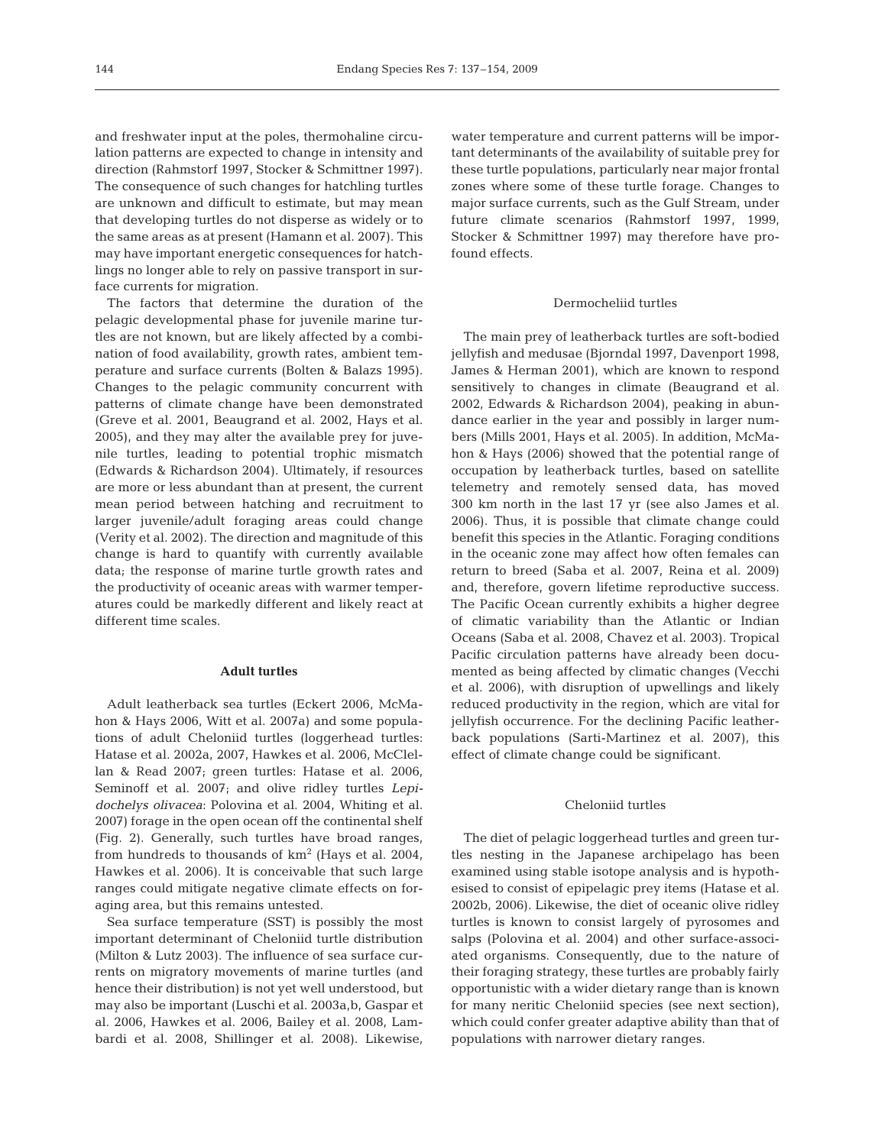and freshwater input at the poles, thermohaline circulation patterns are expected to change in intensity and direction (Rahmstorf 1997, Stocker & Schmittner 1997). The consequence of such changes for hatchling turtles are unknown and difficult to estimate, but may mean that developing turtles do not disperse as widely or to the same areas as at present (Hamann et al. 2007). This may have important energetic consequences for hatchlings no longer able to rely on passive transport in surface currents for migration.

The factors that determine the duration of the pelagic developmental phase for juvenile marine turtles are not known, but are likely affected by a combination of food availability, growth rates, ambient temperature and surface currents (Bolten & Balazs 1995). Changes to the pelagic community concurrent with patterns of climate change have been demonstrated (Greve et al. 2001, Beaugrand et al. 2002, Hays et al. 2005), and they may alter the available prey for juvenile turtles, leading to potential trophic mismatch (Edwards & Richardson 2004). Ultimately, if resources are more or less abundant than at present, the current mean period between hatching and recruitment to larger juvenile/adult foraging areas could change (Verity et al. 2002). The direction and magnitude of this change is hard to quantify with currently available data; the response of marine turtle growth rates and the productivity of oceanic areas with warmer temperatures could be markedly different and likely react at different time scales.

#### **Adult turtles**

Adult leatherback sea turtles (Eckert 2006, McMahon & Hays 2006, Witt et al. 2007a) and some populations of adult Cheloniid turtles (loggerhead turtles: Hatase et al. 2002a, 2007, Hawkes et al. 2006, McClellan & Read 2007; green turtles: Hatase et al. 2006, Seminoff et al. 2007; and olive ridley turtles *Lepidochelys olivacea*: Polovina et al. 2004, Whiting et al. 2007) forage in the open ocean off the continental shelf (Fig. 2). Generally, such turtles have broad ranges, from hundreds to thousands of  $km^2$  (Hays et al. 2004, Hawkes et al. 2006). It is conceivable that such large ranges could mitigate negative climate effects on foraging area, but this remains untested.

Sea surface temperature (SST) is possibly the most important determinant of Cheloniid turtle distribution (Milton & Lutz 2003). The influence of sea surface currents on migratory movements of marine turtles (and hence their distribution) is not yet well understood, but may also be important (Luschi et al. 2003a,b, Gaspar et al. 2006, Hawkes et al. 2006, Bailey et al. 2008, Lambardi et al. 2008, Shillinger et al. 2008). Likewise,

water temperature and current patterns will be important determinants of the availability of suitable prey for these turtle populations, particularly near major frontal zones where some of these turtle forage. Changes to major surface currents, such as the Gulf Stream, under future climate scenarios (Rahmstorf 1997, 1999, Stocker & Schmittner 1997) may therefore have profound effects.

### Dermocheliid turtles

The main prey of leatherback turtles are soft-bodied jellyfish and medusae (Bjorndal 1997, Davenport 1998, James & Herman 2001), which are known to respond sensitively to changes in climate (Beaugrand et al. 2002, Edwards & Richardson 2004), peaking in abundance earlier in the year and possibly in larger numbers (Mills 2001, Hays et al. 2005). In addition, McMahon & Hays (2006) showed that the potential range of occupation by leatherback turtles, based on satellite telemetry and remotely sensed data, has moved 300 km north in the last 17 yr (see also James et al. 2006). Thus, it is possible that climate change could benefit this species in the Atlantic. Foraging conditions in the oceanic zone may affect how often females can return to breed (Saba et al. 2007, Reina et al. 2009) and, therefore, govern lifetime reproductive success. The Pacific Ocean currently exhibits a higher degree of climatic variability than the Atlantic or Indian Oceans (Saba et al. 2008, Chavez et al. 2003). Tropical Pacific circulation patterns have already been documented as being affected by climatic changes (Vecchi et al. 2006), with disruption of upwellings and likely reduced productivity in the region, which are vital for jellyfish occurrence. For the declining Pacific leatherback populations (Sarti-Martinez et al. 2007), this effect of climate change could be significant.

#### Cheloniid turtles

The diet of pelagic loggerhead turtles and green turtles nesting in the Japanese archipelago has been examined using stable isotope analysis and is hypothesised to consist of epipelagic prey items (Hatase et al. 2002b, 2006). Likewise, the diet of oceanic olive ridley turtles is known to consist largely of pyrosomes and salps (Polovina et al. 2004) and other surface-associated organisms. Consequently, due to the nature of their foraging strategy, these turtles are probably fairly opportunistic with a wider dietary range than is known for many neritic Cheloniid species (see next section), which could confer greater adaptive ability than that of populations with narrower dietary ranges.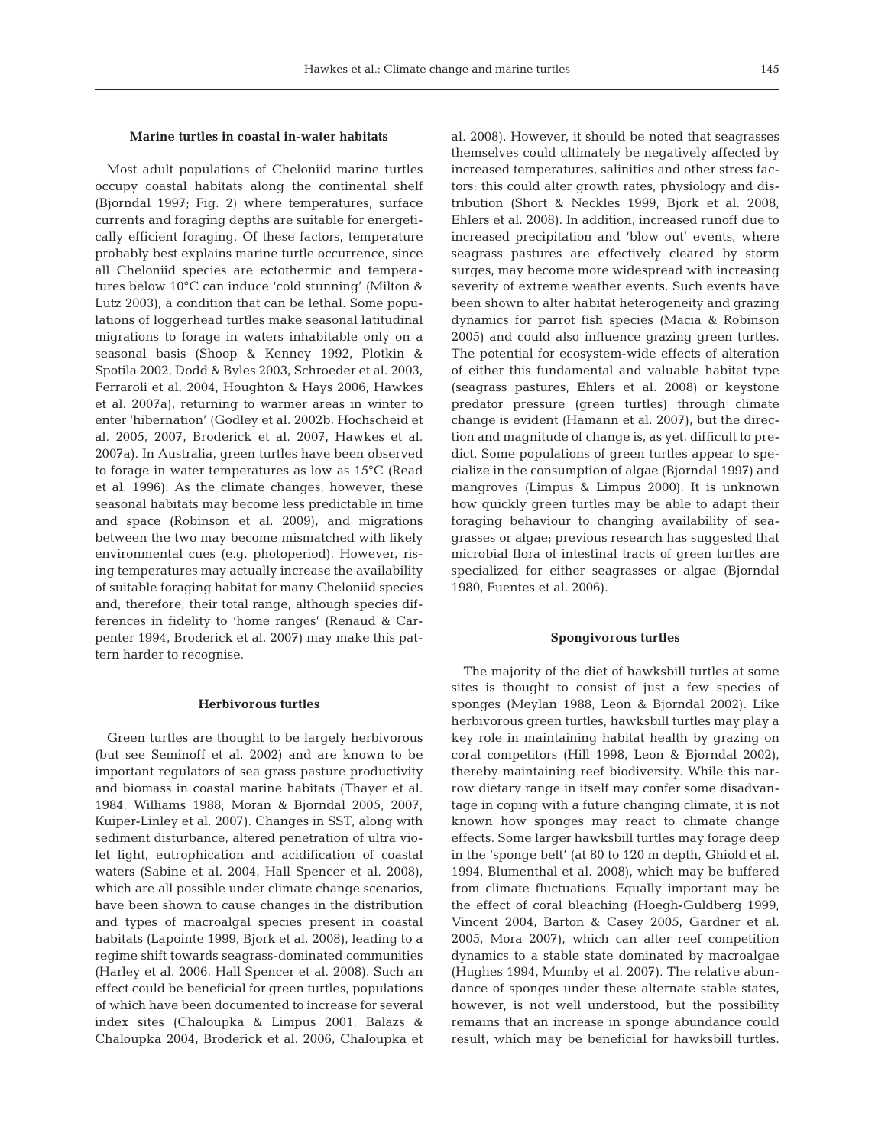#### **Marine turtles in coastal in-water habitats**

Most adult populations of Cheloniid marine turtles occupy coastal habitats along the continental shelf (Bjorndal 1997; Fig. 2) where temperatures, surface currents and foraging depths are suitable for energetically efficient foraging. Of these factors, temperature probably best explains marine turtle occurrence, since all Cheloniid species are ectothermic and temperatures below 10°C can induce 'cold stunning' (Milton & Lutz 2003), a condition that can be lethal. Some populations of loggerhead turtles make seasonal latitudinal migrations to forage in waters inhabitable only on a seasonal basis (Shoop & Kenney 1992, Plotkin & Spotila 2002, Dodd & Byles 2003, Schroeder et al. 2003, Ferraroli et al. 2004, Houghton & Hays 2006, Hawkes et al. 2007a), returning to warmer areas in winter to enter 'hibernation' (Godley et al. 2002b, Hochscheid et al. 2005, 2007, Broderick et al. 2007, Hawkes et al. 2007a). In Australia, green turtles have been observed to forage in water temperatures as low as 15°C (Read et al. 1996). As the climate changes, however, these seasonal habitats may become less predictable in time and space (Robinson et al. 2009), and migrations between the two may become mismatched with likely environmental cues (e.g. photoperiod). However, rising temperatures may actually increase the availability of suitable foraging habitat for many Cheloniid species and, therefore, their total range, although species differences in fidelity to 'home ranges' (Renaud & Carpenter 1994, Broderick et al. 2007) may make this pattern harder to recognise.

#### **Herbivorous turtles**

Green turtles are thought to be largely herbivorous (but see Seminoff et al. 2002) and are known to be important regulators of sea grass pasture productivity and biomass in coastal marine habitats (Thayer et al. 1984, Williams 1988, Moran & Bjorndal 2005, 2007, Kuiper-Linley et al. 2007). Changes in SST, along with sediment disturbance, altered penetration of ultra violet light, eutrophication and acidification of coastal waters (Sabine et al. 2004, Hall Spencer et al. 2008), which are all possible under climate change scenarios, have been shown to cause changes in the distribution and types of macroalgal species present in coastal habitats (Lapointe 1999, Bjork et al. 2008), leading to a regime shift towards seagrass-dominated communities (Harley et al. 2006, Hall Spencer et al. 2008). Such an effect could be beneficial for green turtles, populations of which have been documented to increase for several index sites (Chaloupka & Limpus 2001, Balazs & Chaloupka 2004, Broderick et al. 2006, Chaloupka et al. 2008). However, it should be noted that seagrasses themselves could ultimately be negatively affected by increased temperatures, salinities and other stress factors; this could alter growth rates, physiology and distribution (Short & Neckles 1999, Bjork et al. 2008, Ehlers et al. 2008). In addition, increased runoff due to increased precipitation and 'blow out' events, where seagrass pastures are effectively cleared by storm surges, may become more widespread with increasing severity of extreme weather events. Such events have been shown to alter habitat heterogeneity and grazing dynamics for parrot fish species (Macia & Robinson 2005) and could also influence grazing green turtles. The potential for ecosystem-wide effects of alteration of either this fundamental and valuable habitat type (seagrass pastures, Ehlers et al. 2008) or keystone predator pressure (green turtles) through climate change is evident (Hamann et al. 2007), but the direction and magnitude of change is, as yet, difficult to predict. Some populations of green turtles appear to specialize in the consumption of algae (Bjorndal 1997) and mangroves (Limpus & Limpus 2000). It is unknown how quickly green turtles may be able to adapt their foraging behaviour to changing availability of seagrasses or algae; previous research has suggested that microbial flora of intestinal tracts of green turtles are specialized for either seagrasses or algae (Bjorndal 1980, Fuentes et al. 2006).

#### **Spongivorous turtles**

The majority of the diet of hawksbill turtles at some sites is thought to consist of just a few species of sponges (Meylan 1988, Leon & Bjorndal 2002). Like herbivorous green turtles, hawksbill turtles may play a key role in maintaining habitat health by grazing on coral competitors (Hill 1998, Leon & Bjorndal 2002), thereby maintaining reef biodiversity. While this narrow dietary range in itself may confer some disadvantage in coping with a future changing climate, it is not known how sponges may react to climate change effects. Some larger hawksbill turtles may forage deep in the 'sponge belt' (at 80 to 120 m depth, Ghiold et al. 1994, Blumenthal et al. 2008), which may be buffered from climate fluctuations. Equally important may be the effect of coral bleaching (Hoegh-Guldberg 1999, Vincent 2004, Barton & Casey 2005, Gardner et al. 2005, Mora 2007), which can alter reef competition dynamics to a stable state dominated by macroalgae (Hughes 1994, Mumby et al. 2007). The relative abundance of sponges under these alternate stable states, however, is not well understood, but the possibility remains that an increase in sponge abundance could result, which may be beneficial for hawksbill turtles.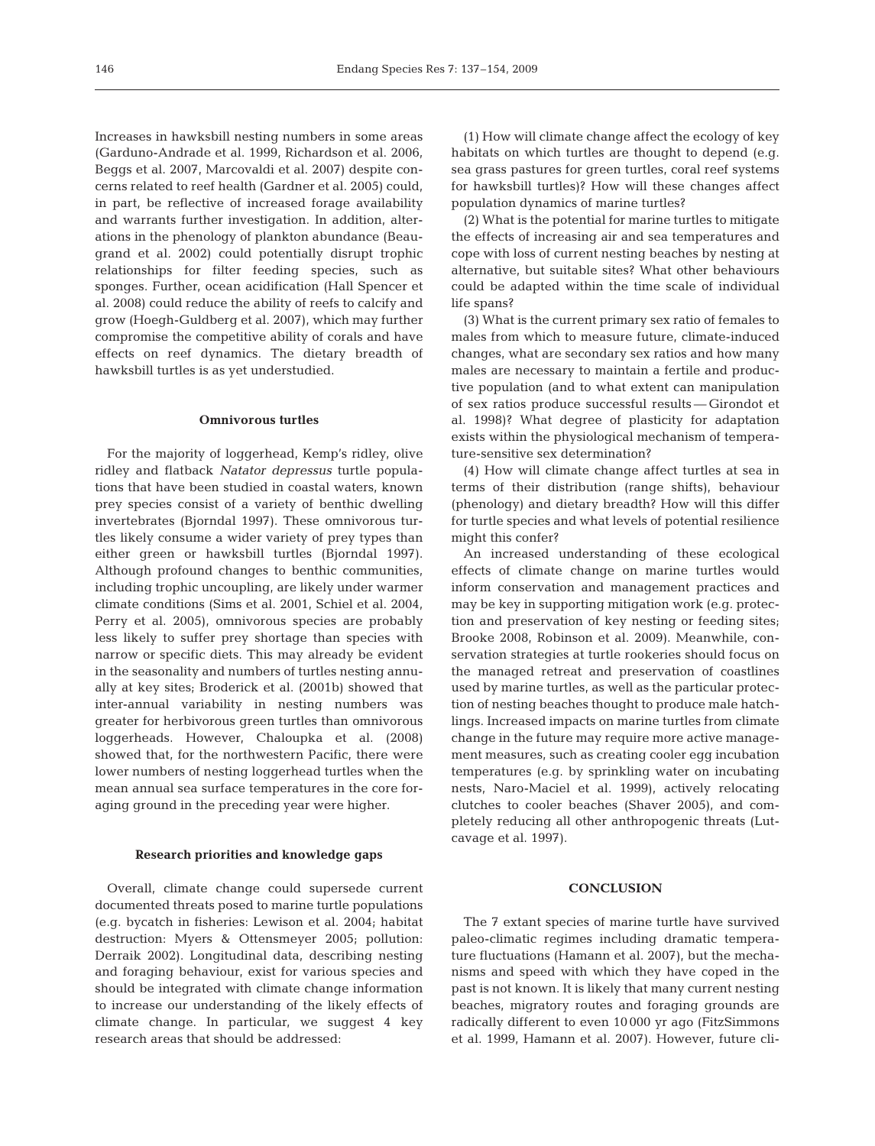Increases in hawksbill nesting numbers in some areas (Garduno-Andrade et al. 1999, Richardson et al. 2006, Beggs et al. 2007, Marcovaldi et al. 2007) despite concerns related to reef health (Gardner et al. 2005) could, in part, be reflective of increased forage availability and warrants further investigation. In addition, alterations in the phenology of plankton abundance (Beaugrand et al. 2002) could potentially disrupt trophic relationships for filter feeding species, such as sponges. Further, ocean acidification (Hall Spencer et al. 2008) could reduce the ability of reefs to calcify and grow (Hoegh-Guldberg et al. 2007), which may further compromise the competitive ability of corals and have effects on reef dynamics. The dietary breadth of hawksbill turtles is as yet understudied.

#### **Omnivorous turtles**

For the majority of loggerhead, Kemp's ridley, olive ridley and flatback *Natator depressus* turtle populations that have been studied in coastal waters, known prey species consist of a variety of benthic dwelling invertebrates (Bjorndal 1997). These omnivorous turtles likely consume a wider variety of prey types than either green or hawksbill turtles (Bjorndal 1997). Although profound changes to benthic communities, including trophic uncoupling, are likely under warmer climate conditions (Sims et al. 2001, Schiel et al. 2004, Perry et al. 2005), omnivorous species are probably less likely to suffer prey shortage than species with narrow or specific diets. This may already be evident in the seasonality and numbers of turtles nesting annually at key sites; Broderick et al. (2001b) showed that inter-annual variability in nesting numbers was greater for herbivorous green turtles than omnivorous loggerheads. However, Chaloupka et al. (2008) showed that, for the northwestern Pacific, there were lower numbers of nesting loggerhead turtles when the mean annual sea surface temperatures in the core foraging ground in the preceding year were higher.

#### **Research priorities and knowledge gaps**

Overall, climate change could supersede current documented threats posed to marine turtle populations (e.g. bycatch in fisheries: Lewison et al. 2004; habitat destruction: Myers & Ottensmeyer 2005; pollution: Derraik 2002). Longitudinal data, describing nesting and foraging behaviour, exist for various species and should be integrated with climate change information to increase our understanding of the likely effects of climate change. In particular, we suggest 4 key research areas that should be addressed:

(1) How will climate change affect the ecology of key habitats on which turtles are thought to depend (e.g. sea grass pastures for green turtles, coral reef systems for hawksbill turtles)? How will these changes affect population dynamics of marine turtles?

(2) What is the potential for marine turtles to mitigate the effects of increasing air and sea temperatures and cope with loss of current nesting beaches by nesting at alternative, but suitable sites? What other behaviours could be adapted within the time scale of individual life spans?

(3) What is the current primary sex ratio of females to males from which to measure future, climate-induced changes, what are secondary sex ratios and how many males are necessary to maintain a fertile and productive population (and to what extent can manipulation of sex ratios produce successful results — Girondot et al. 1998)? What degree of plasticity for adaptation exists within the physiological mechanism of temperature-sensitive sex determination?

(4) How will climate change affect turtles at sea in terms of their distribution (range shifts), behaviour (phenology) and dietary breadth? How will this differ for turtle species and what levels of potential resilience might this confer?

An increased understanding of these ecological effects of climate change on marine turtles would inform conservation and management practices and may be key in supporting mitigation work (e.g. protection and preservation of key nesting or feeding sites; Brooke 2008, Robinson et al. 2009). Meanwhile, conservation strategies at turtle rookeries should focus on the managed retreat and preservation of coastlines used by marine turtles, as well as the particular protection of nesting beaches thought to produce male hatchlings. Increased impacts on marine turtles from climate change in the future may require more active management measures, such as creating cooler egg incubation temperatures (e.g. by sprinkling water on incubating nests, Naro-Maciel et al. 1999), actively relocating clutches to cooler beaches (Shaver 2005), and completely reducing all other anthropogenic threats (Lutcavage et al. 1997).

#### **CONCLUSION**

The 7 extant species of marine turtle have survived paleo-climatic regimes including dramatic temperature fluctuations (Hamann et al. 2007), but the mechanisms and speed with which they have coped in the past is not known. It is likely that many current nesting beaches, migratory routes and foraging grounds are radically different to even 10000 yr ago (FitzSimmons et al. 1999, Hamann et al. 2007). However, future cli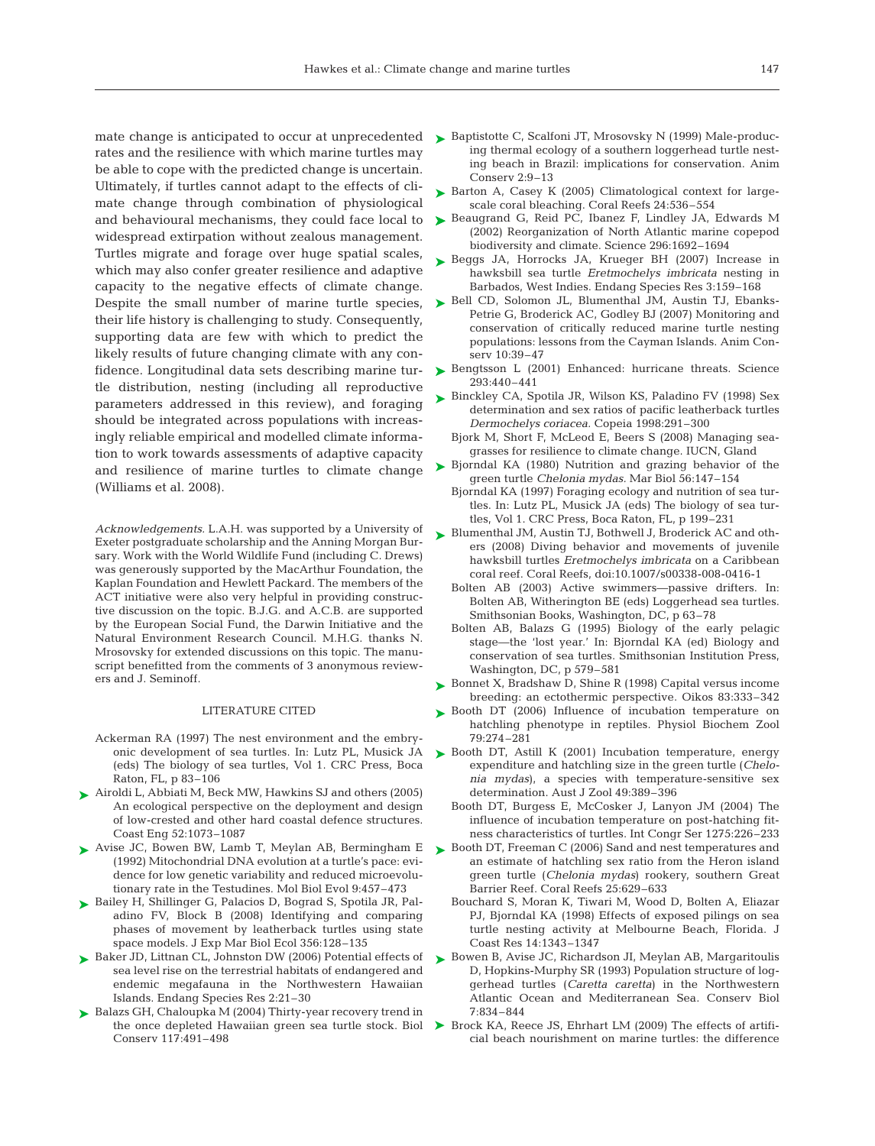rates and the resilience with which marine turtles may be able to cope with the predicted change is uncertain. Ultimately, if turtles cannot adapt to the effects of climate change through combination of physiological and behavioural mechanisms, they could face local to widespread extirpation without zealous management. Turtles migrate and forage over huge spatial scales, which may also confer greater resilience and adaptive capacity to the negative effects of climate change. Despite the small number of marine turtle species, their life history is challenging to study. Consequently, supporting data are few with which to predict the likely results of future changing climate with any confidence. Longitudinal data sets describing marine turtle distribution, nesting (including all reproductive parameters addressed in this review), and foraging should be integrated across populations with increasingly reliable empirical and modelled climate information to work towards assessments of adaptive capacity and resilience of marine turtles to climate change (Williams et al. 2008).

*Acknowledgements.* L.A.H. was supported by a University of Exeter postgraduate scholarship and the Anning Morgan Bursary. Work with the World Wildlife Fund (including C. Drews) was generously supported by the MacArthur Foundation, the Kaplan Foundation and Hewlett Packard. The members of the ACT initiative were also very helpful in providing constructive discussion on the topic. B.J.G. and A.C.B. are supported by the European Social Fund, the Darwin Initiative and the Natural Environment Research Council. M.H.G. thanks N. Mrosovsky for extended discussions on this topic. The manuscript benefitted from the comments of 3 anonymous reviewers and J. Seminoff.

#### LITERATURE CITED

- Ackerman RA (1997) The nest environment and the embryonic development of sea turtles. In: Lutz PL, Musick JA (eds) The biology of sea turtles, Vol 1. CRC Press, Boca Raton, FL, p 83–106
- ▶ Airoldi L, Abbiati M, Beck MW, Hawkins SJ and others (2005) An ecological perspective on the deployment and design of low-crested and other hard coastal defence structures. Coast Eng 52:1073–1087
- ▶ Avise JC, Bowen BW, Lamb T, Meylan AB, Bermingham E (1992) Mitochondrial DNA evolution at a turtle's pace: evidence for low genetic variability and reduced microevolutionary rate in the Testudines. Mol Biol Evol 9:457–473
- ► Bailey H, Shillinger G, Palacios D, Bograd S, Spotila JR, Paladino FV, Block B (2008) Identifying and comparing phases of movement by leatherback turtles using state space models. J Exp Mar Biol Ecol 356:128–135
- ▶ Baker JD, Littnan CL, Johnston DW (2006) Potential effects of sea level rise on the terrestrial habitats of endangered and endemic megafauna in the Northwestern Hawaiian Islands. Endang Species Res 2:21–30
- ► Balazs GH, Chaloupka M (2004) Thirty-year recovery trend in the once depleted Hawaiian green sea turtle stock. Biol Conserv 117:491–498
- mate change is anticipated to occur at unprecedented  $\quadblacktriangleright$  Baptistotte C, Scalfoni JT, Mrosovsky N (1999) Male-producing thermal ecology of a southern loggerhead turtle nesting beach in Brazil: implications for conservation. Anim Conserv 2:9–13
	- ► Barton A, Casey K (2005) Climatological context for largescale coral bleaching. Coral Reefs 24:536–554
	- ► Beaugrand G, Reid PC, Ibanez F, Lindley JA, Edwards M (2002) Reorganization of North Atlantic marine copepod biodiversity and climate. Science 296:1692–1694
	- ▶ Beggs JA, Horrocks JA, Krueger BH (2007) Increase in hawksbill sea turtle *Eretmochelys imbricata* nesting in Barbados, West Indies. Endang Species Res 3:159–168
	- ► Bell CD, Solomon JL, Blumenthal JM, Austin TJ, Ebanks-Petrie G, Broderick AC, Godley BJ (2007) Monitoring and conservation of critically reduced marine turtle nesting populations: lessons from the Cayman Islands. Anim Conserv 10:39–47
	- ▶ Bengtsson L (2001) Enhanced: hurricane threats. Science 293:440–441
	- ► Binckley CA, Spotila JR, Wilson KS, Paladino FV (1998) Sex determination and sex ratios of pacific leatherback turtles *Dermochelys coriacea.* Copeia 1998:291–300
		- Bjork M, Short F, McLeod E, Beers S (2008) Managing seagrasses for resilience to climate change. IUCN, Gland
	- ► Bjorndal KA (1980) Nutrition and grazing behavior of the green turtle *Chelonia mydas.* Mar Biol 56:147–154
		- Bjorndal KA (1997) Foraging ecology and nutrition of sea turtles. In: Lutz PL, Musick JA (eds) The biology of sea turtles, Vol 1. CRC Press, Boca Raton, FL, p 199–231
	- ► Blumenthal JM, Austin TJ, Bothwell J, Broderick AC and others (2008) Diving behavior and movements of juvenile hawksbill turtles *Eretmochelys imbricata* on a Caribbean coral reef. Coral Reefs, doi:10.1007/s00338-008-0416-1
		- Bolten AB (2003) Active swimmers—passive drifters. In: Bolten AB, Witherington BE (eds) Loggerhead sea turtles. Smithsonian Books, Washington, DC, p 63–78
		- Bolten AB, Balazs G (1995) Biology of the early pelagic stage—the 'lost year.' In: Bjorndal KA (ed) Biology and conservation of sea turtles. Smithsonian Institution Press, Washington, DC, p 579–581
	- ► Bonnet X, Bradshaw D, Shine R (1998) Capital versus income breeding: an ectothermic perspective. Oikos 83:333–342
	- ▶ Booth DT (2006) Influence of incubation temperature on hatchling phenotype in reptiles. Physiol Biochem Zool 79:274–281
	- ► Booth DT, Astill K (2001) Incubation temperature, energy expenditure and hatchling size in the green turtle (*Chelonia mydas*), a species with temperature-sensitive sex determination. Aust J Zool 49:389–396
		- Booth DT, Burgess E, McCosker J, Lanyon JM (2004) The influence of incubation temperature on post-hatching fitness characteristics of turtles. Int Congr Ser 1275:226–233
	- ► Booth DT, Freeman C (2006) Sand and nest temperatures and an estimate of hatchling sex ratio from the Heron island green turtle (*Chelonia mydas*) rookery, southern Great Barrier Reef. Coral Reefs 25:629–633
		- Bouchard S, Moran K, Tiwari M, Wood D, Bolten A, Eliazar PJ, Bjorndal KA (1998) Effects of exposed pilings on sea turtle nesting activity at Melbourne Beach, Florida. J Coast Res 14:1343–1347
	- ► Bowen B, Avise JC, Richardson JI, Meylan AB, Margaritoulis D, Hopkins-Murphy SR (1993) Population structure of loggerhead turtles (*Caretta caretta*) in the Northwestern Atlantic Ocean and Mediterranean Sea. Conserv Biol 7:834–844
	- ▶ Brock KA, Reece JS, Ehrhart LM (2009) The effects of artificial beach nourishment on marine turtles: the difference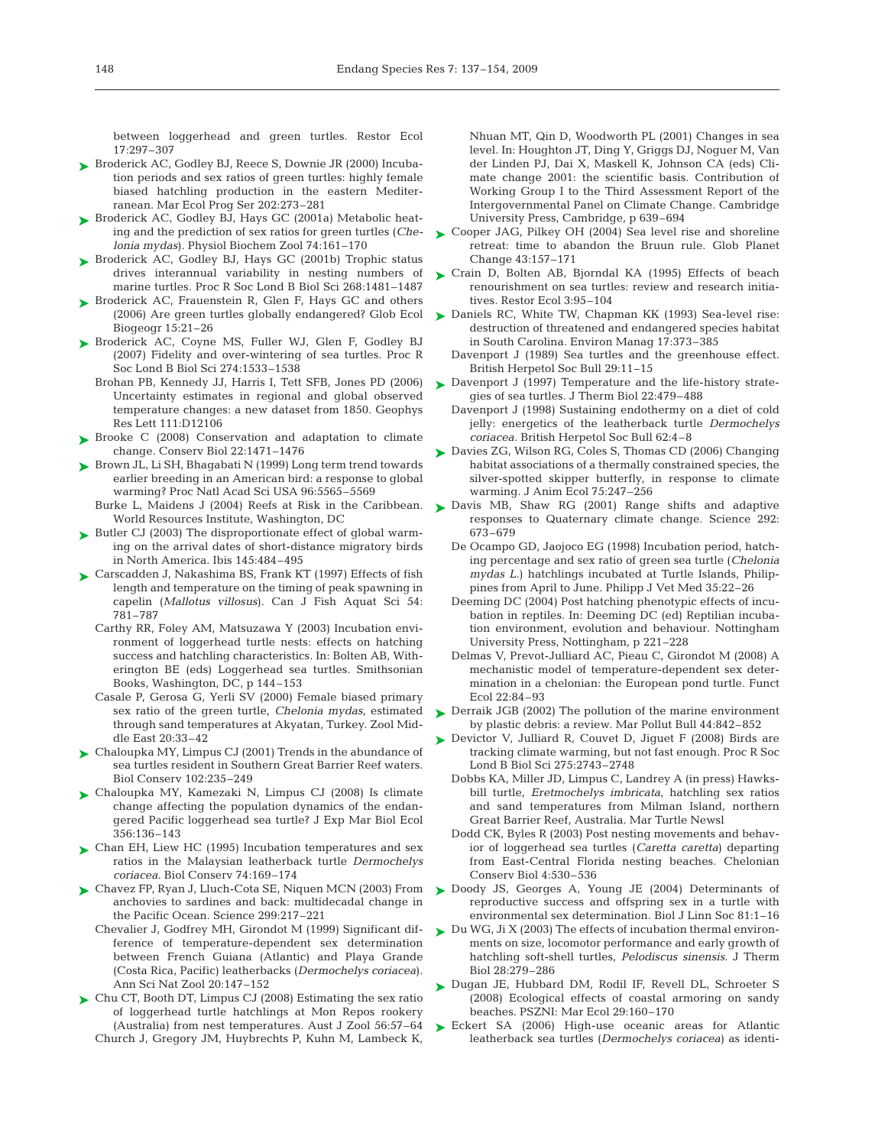between loggerhead and green turtles. Restor Ecol 17:297–307

- ► Broderick AC, Godley BJ, Reece S, Downie JR (2000) Incubation periods and sex ratios of green turtles: highly female biased hatchling production in the eastern Mediterranean. Mar Ecol Prog Ser 202:273–281
- ► Broderick AC, Godley BJ, Hays GC (2001a) Metabolic heating and the prediction of sex ratios for green turtles (*Chelonia mydas*). Physiol Biochem Zool 74:161–170
- ► Broderick AC, Godley BJ, Hays GC (2001b) Trophic status drives interannual variability in nesting numbers of marine turtles. Proc R Soc Lond B Biol Sci 268:1481–1487
- ► Broderick AC, Frauenstein R, Glen F, Hays GC and others (2006) Are green turtles globally endangered? Glob Ecol Biogeogr 15:21–26
- ▶ Broderick AC, Coyne MS, Fuller WJ, Glen F, Godley BJ (2007) Fidelity and over-wintering of sea turtles. Proc R Soc Lond B Biol Sci 274:1533–1538
	- Brohan PB, Kennedy JJ, Harris I, Tett SFB, Jones PD (2006) Uncertainty estimates in regional and global observed temperature changes: a new dataset from 1850. Geophys Res Lett 111:D12106
- ► Brooke C (2008) Conservation and adaptation to climate change. Conserv Biol 22:1471–1476
- ► Brown JL, Li SH, Bhagabati N (1999) Long term trend towards earlier breeding in an American bird: a response to global warming? Proc Natl Acad Sci USA 96:5565–5569
	- Burke L, Maidens J (2004) Reefs at Risk in the Caribbean. World Resources Institute, Washington, DC
- ▶ Butler CJ (2003) The disproportionate effect of global warming on the arrival dates of short-distance migratory birds in North America. Ibis 145:484–495
- ► Carscadden J, Nakashima BS, Frank KT (1997) Effects of fish length and temperature on the timing of peak spawning in capelin (*Mallotus villosus*). Can J Fish Aquat Sci 54: 781–787
	- Carthy RR, Foley AM, Matsuzawa Y (2003) Incubation environment of loggerhead turtle nests: effects on hatching success and hatchling characteristics. In: Bolten AB, Witherington BE (eds) Loggerhead sea turtles. Smithsonian Books, Washington, DC, p 144–153
	- Casale P, Gerosa G, Yerli SV (2000) Female biased primary sex ratio of the green turtle, *Chelonia mydas*, estimated through sand temperatures at Akyatan, Turkey. Zool Middle East 20:33–42
- ► Chaloupka MY, Limpus CJ (2001) Trends in the abundance of sea turtles resident in Southern Great Barrier Reef waters. Biol Conserv 102:235–249
- Chaloupka MY, Kamezaki N, Limpus CJ (2008) Is climate ➤ change affecting the population dynamics of the endangered Pacific loggerhead sea turtle? J Exp Mar Biol Ecol 356:136–143
- ► Chan EH, Liew HC (1995) Incubation temperatures and sex ratios in the Malaysian leatherback turtle *Dermochelys coriacea.* Biol Conserv 74:169–174
- Chavez FP, Ryan J, Lluch-Cota SE, Niquen MCN (2003) From ➤ anchovies to sardines and back: multidecadal change in the Pacific Ocean. Science 299:217–221
	- Chevalier J, Godfrey MH, Girondot M (1999) Significant difference of temperature-dependent sex determination between French Guiana (Atlantic) and Playa Grande (Costa Rica, Pacific) leatherbacks (*Dermochelys coriacea*). Ann Sci Nat Zool 20:147–152
- ► Chu CT, Booth DT, Limpus CJ (2008) Estimating the sex ratio of loggerhead turtle hatchlings at Mon Repos rookery (Australia) from nest temperatures. Aust J Zool 56:57–64 Church J, Gregory JM, Huybrechts P, Kuhn M, Lambeck K,

Nhuan MT, Qin D, Woodworth PL (2001) Changes in sea level. In: Houghton JT, Ding Y, Griggs DJ, Noguer M, Van der Linden PJ, Dai X, Maskell K, Johnson CA (eds) Climate change 2001: the scientific basis. Contribution of Working Group I to the Third Assessment Report of the Intergovernmental Panel on Climate Change. Cambridge University Press, Cambridge, p 639–694

- ► Cooper JAG, Pilkey OH (2004) Sea level rise and shoreline retreat: time to abandon the Bruun rule. Glob Planet Change 43:157–171
- ► Crain D, Bolten AB, Bjorndal KA (1995) Effects of beach renourishment on sea turtles: review and research initiatives. Restor Ecol 3:95–104
- ► Daniels RC, White TW, Chapman KK (1993) Sea-level rise: destruction of threatened and endangered species habitat in South Carolina. Environ Manag 17:373–385
	- Davenport J (1989) Sea turtles and the greenhouse effect. British Herpetol Soc Bull 29:11–15
- ► Davenport J (1997) Temperature and the life-history strategies of sea turtles. J Therm Biol 22:479–488
	- Davenport J (1998) Sustaining endothermy on a diet of cold jelly: energetics of the leatherback turtle *Dermochelys coriacea.* British Herpetol Soc Bull 62:4–8
- ► Davies ZG, Wilson RG, Coles S, Thomas CD (2006) Changing habitat associations of a thermally constrained species, the silver-spotted skipper butterfly, in response to climate warming. J Anim Ecol 75:247–256
- ▶ Davis MB, Shaw RG (2001) Range shifts and adaptive responses to Quaternary climate change. Science 292: 673–679
	- De Ocampo GD, Jaojoco EG (1998) Incubation period, hatching percentage and sex ratio of green sea turtle (*Chelonia mydas L.*) hatchlings incubated at Turtle Islands, Philippines from April to June. Philipp J Vet Med 35:22–26
	- Deeming DC (2004) Post hatching phenotypic effects of incubation in reptiles. In: Deeming DC (ed) Reptilian incubation environment, evolution and behaviour. Nottingham University Press, Nottingham, p 221–228
	- Delmas V, Prevot-Julliard AC, Pieau C, Girondot M (2008) A mechanistic model of temperature-dependent sex determination in a chelonian: the European pond turtle. Funct Ecol 22:84–93
- ▶ Derraik JGB (2002) The pollution of the marine environment by plastic debris: a review. Mar Pollut Bull 44:842–852
- ► Devictor V, Julliard R, Couvet D, Jiguet F (2008) Birds are tracking climate warming, but not fast enough. Proc R Soc Lond B Biol Sci 275:2743–2748
	- Dobbs KA, Miller JD, Limpus C, Landrey A (in press) Hawksbill turtle, *Eretmochelys imbricata*, hatchling sex ratios and sand temperatures from Milman Island, northern Great Barrier Reef, Australia. Mar Turtle Newsl
	- Dodd CK, Byles R (2003) Post nesting movements and behavior of loggerhead sea turtles (*Caretta caretta*) departing from East-Central Florida nesting beaches. Chelonian Conserv Biol 4:530–536
- ▶ Doody JS, Georges A, Young JE (2004) Determinants of reproductive success and offspring sex in a turtle with environmental sex determination. Biol J Linn Soc 81:1–16
- ► Du WG, Ji X (2003) The effects of incubation thermal environments on size, locomotor performance and early growth of hatchling soft-shell turtles, *Pelodiscus sinensis.* J Therm Biol 28:279–286
- Dugan JE, Hubbard DM, Rodil IF, Revell DL, Schroeter S ➤ (2008) Ecological effects of coastal armoring on sandy beaches. PSZNI: Mar Ecol 29:160–170
- ▶ Eckert SA (2006) High-use oceanic areas for Atlantic leatherback sea turtles (*Dermochelys coriacea*) as identi-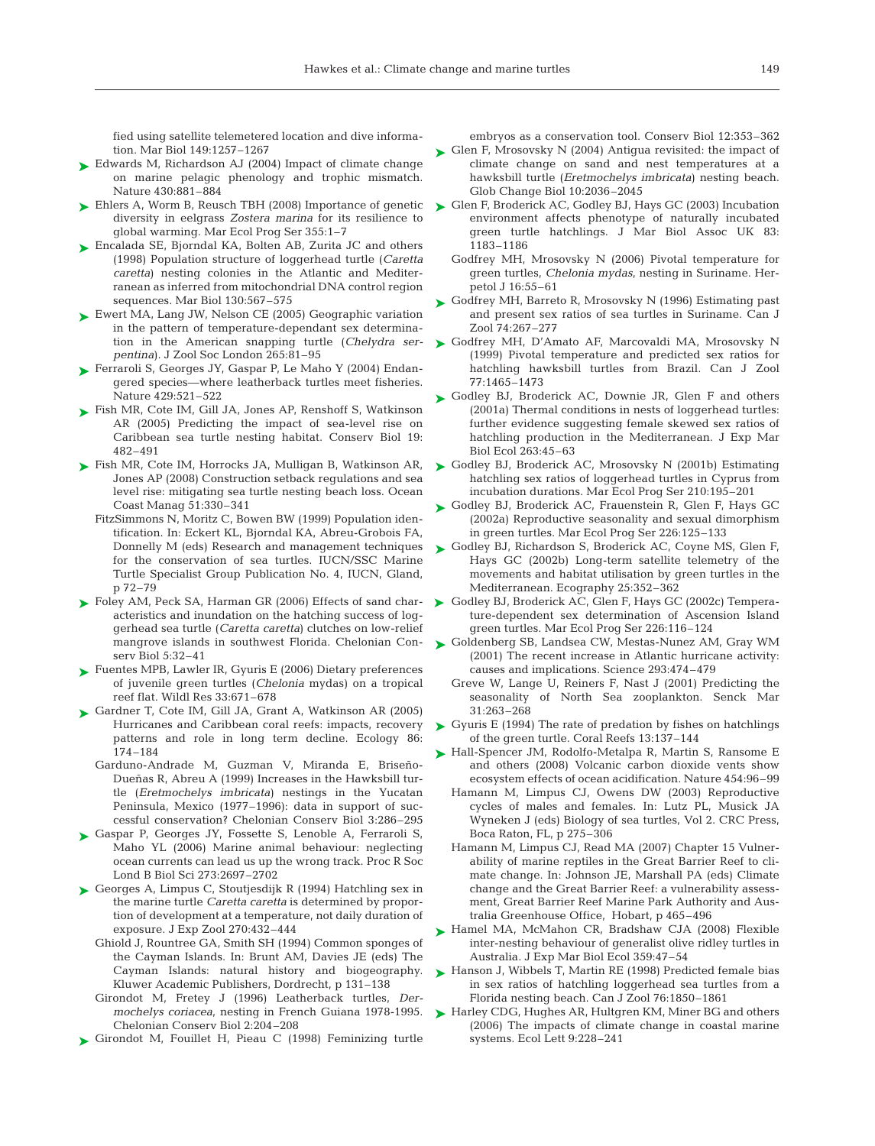fied using satellite telemetered location and dive information. Mar Biol 149:1257–1267

- ► Edwards M, Richardson AJ (2004) Impact of climate change on marine pelagic phenology and trophic mismatch. Nature 430:881–884
- ► Ehlers A, Worm B, Reusch TBH (2008) Importance of genetic diversity in eelgrass *Zostera marina* for its resilience to global warming. Mar Ecol Prog Ser 355:1–7
- ► Encalada SE, Bjorndal KA, Bolten AB, Zurita JC and others (1998) Population structure of loggerhead turtle (*Caretta caretta*) nesting colonies in the Atlantic and Mediterranean as inferred from mitochondrial DNA control region sequences. Mar Biol 130:567–575
- ► Ewert MA, Lang JW, Nelson CE (2005) Geographic variation in the pattern of temperature-dependant sex determination in the American snapping turtle (*Chelydra serpentina*). J Zool Soc London 265:81–95
- Ferraroli S, Georges JY, Gaspar P, Le Maho Y (2004) Endan-➤ gered species—where leatherback turtles meet fisheries. Nature 429:521–522
- ► Fish MR, Cote IM, Gill JA, Jones AP, Renshoff S, Watkinson AR (2005) Predicting the impact of sea-level rise on Caribbean sea turtle nesting habitat. Conserv Biol 19: 482–491
- ► Fish MR, Cote IM, Horrocks JA, Mulligan B, Watkinson AR, Jones AP (2008) Construction setback regulations and sea level rise: mitigating sea turtle nesting beach loss. Ocean Coast Manag 51:330–341
	- FitzSimmons N, Moritz C, Bowen BW (1999) Population identification. In: Eckert KL, Bjorndal KA, Abreu-Grobois FA, Donnelly M (eds) Research and management techniques for the conservation of sea turtles. IUCN/SSC Marine Turtle Specialist Group Publication No. 4, IUCN, Gland, p 72–79
- ► Foley AM, Peck SA, Harman GR (2006) Effects of sand characteristics and inundation on the hatching success of loggerhead sea turtle (*Caretta caretta*) clutches on low-relief mangrove islands in southwest Florida. Chelonian Conserv Biol 5:32–41
- ► Fuentes MPB, Lawler IR, Gyuris E (2006) Dietary preferences of juvenile green turtles (*Chelonia* mydas) on a tropical reef flat. Wildl Res 33:671–678
- ► Gardner T, Cote IM, Gill JA, Grant A, Watkinson AR (2005) Hurricanes and Caribbean coral reefs: impacts, recovery patterns and role in long term decline. Ecology 86: 174–184
	- Garduno-Andrade M, Guzman V, Miranda E, Briseño-Dueñas R, Abreu A (1999) Increases in the Hawksbill turtle (*Eretmochelys imbricata*) nestings in the Yucatan Peninsula, Mexico (1977–1996): data in support of successful conservation? Chelonian Conserv Biol 3:286–295
- Gaspar P, Georges JY, Fossette S, Lenoble A, Ferraroli S, ➤ Maho YL (2006) Marine animal behaviour: neglecting ocean currents can lead us up the wrong track. Proc R Soc Lond B Biol Sci 273:2697–2702
- ► Georges A, Limpus C, Stoutjesdijk R (1994) Hatchling sex in the marine turtle *Caretta caretta* is determined by proportion of development at a temperature, not daily duration of exposure. J Exp Zool 270:432–444
	- Ghiold J, Rountree GA, Smith SH (1994) Common sponges of the Cayman Islands. In: Brunt AM, Davies JE (eds) The Cayman Islands: natural history and biogeography. Kluwer Academic Publishers, Dordrecht, p 131–138
	- Girondot M, Fretey J (1996) Leatherback turtles, *Dermochelys coriacea*, nesting in French Guiana 1978-1995. Chelonian Conserv Biol 2:204–208
- ▶ Girondot M, Fouillet H, Pieau C (1998) Feminizing turtle

embryos as a conservation tool. Conserv Biol 12:353–362

- ► Glen F, Mrosovsky N (2004) Antigua revisited: the impact of climate change on sand and nest temperatures at a hawksbill turtle (*Eretmochelys imbricata*) nesting beach. Glob Change Biol 10:2036–2045
- ► Glen F, Broderick AC, Godley BJ, Hays GC (2003) Incubation environment affects phenotype of naturally incubated green turtle hatchlings. J Mar Biol Assoc UK 83: 1183–1186
	- Godfrey MH, Mrosovsky N (2006) Pivotal temperature for green turtles, *Chelonia mydas*, nesting in Suriname. Herpetol J 16:55–61
- ► Godfrey MH, Barreto R, Mrosovsky N (1996) Estimating past and present sex ratios of sea turtles in Suriname. Can J Zool 74:267–277
- ► Godfrey MH, D'Amato AF, Marcovaldi MA, Mrosovsky N (1999) Pivotal temperature and predicted sex ratios for hatchling hawksbill turtles from Brazil. Can J Zool 77:1465–1473
- ► Godley BJ, Broderick AC, Downie JR, Glen F and others (2001a) Thermal conditions in nests of loggerhead turtles: further evidence suggesting female skewed sex ratios of hatchling production in the Mediterranean. J Exp Mar Biol Ecol 263:45–63
- ► Godley BJ, Broderick AC, Mrosovsky N (2001b) Estimating hatchling sex ratios of loggerhead turtles in Cyprus from incubation durations. Mar Ecol Prog Ser 210:195–201
- ► Godley BJ, Broderick AC, Frauenstein R, Glen F, Hays GC (2002a) Reproductive seasonality and sexual dimorphism in green turtles. Mar Ecol Prog Ser 226:125–133
- ► Godley BJ, Richardson S, Broderick AC, Coyne MS, Glen F, Hays GC (2002b) Long-term satellite telemetry of the movements and habitat utilisation by green turtles in the Mediterranean. Ecography 25:352–362
- ► Godley BJ, Broderick AC, Glen F, Hays GC (2002c) Temperature-dependent sex determination of Ascension Island green turtles. Mar Ecol Prog Ser 226:116–124
- ▶ Goldenberg SB, Landsea CW, Mestas-Nunez AM, Gray WM (2001) The recent increase in Atlantic hurricane activity: causes and implications. Science 293:474–479
	- Greve W, Lange U, Reiners F, Nast J (2001) Predicting the seasonality of North Sea zooplankton. Senck Mar 31:263–268
- Gyuris E (1994) The rate of predation by fishes on hatchlings of the green turtle. Coral Reefs 13:137–144 ➤
- ► Hall-Spencer JM, Rodolfo-Metalpa R, Martin S, Ransome E and others (2008) Volcanic carbon dioxide vents show ecosystem effects of ocean acidification. Nature 454:96–99
	- Hamann M, Limpus CJ, Owens DW (2003) Reproductive cycles of males and females. In: Lutz PL, Musick JA Wyneken J (eds) Biology of sea turtles, Vol 2. CRC Press, Boca Raton, FL, p 275–306
	- Hamann M, Limpus CJ, Read MA (2007) Chapter 15 Vulnerability of marine reptiles in the Great Barrier Reef to climate change. In: Johnson JE, Marshall PA (eds) Climate change and the Great Barrier Reef: a vulnerability assessment, Great Barrier Reef Marine Park Authority and Australia Greenhouse Office, Hobart, p 465–496
- ▶ Hamel MA, McMahon CR, Bradshaw CJA (2008) Flexible inter-nesting behaviour of generalist olive ridley turtles in Australia. J Exp Mar Biol Ecol 359:47–54
- ► Hanson J, Wibbels T, Martin RE (1998) Predicted female bias in sex ratios of hatchling loggerhead sea turtles from a Florida nesting beach. Can J Zool 76:1850–1861
- ► Harley CDG, Hughes AR, Hultgren KM, Miner BG and others (2006) The impacts of climate change in coastal marine systems. Ecol Lett 9:228–241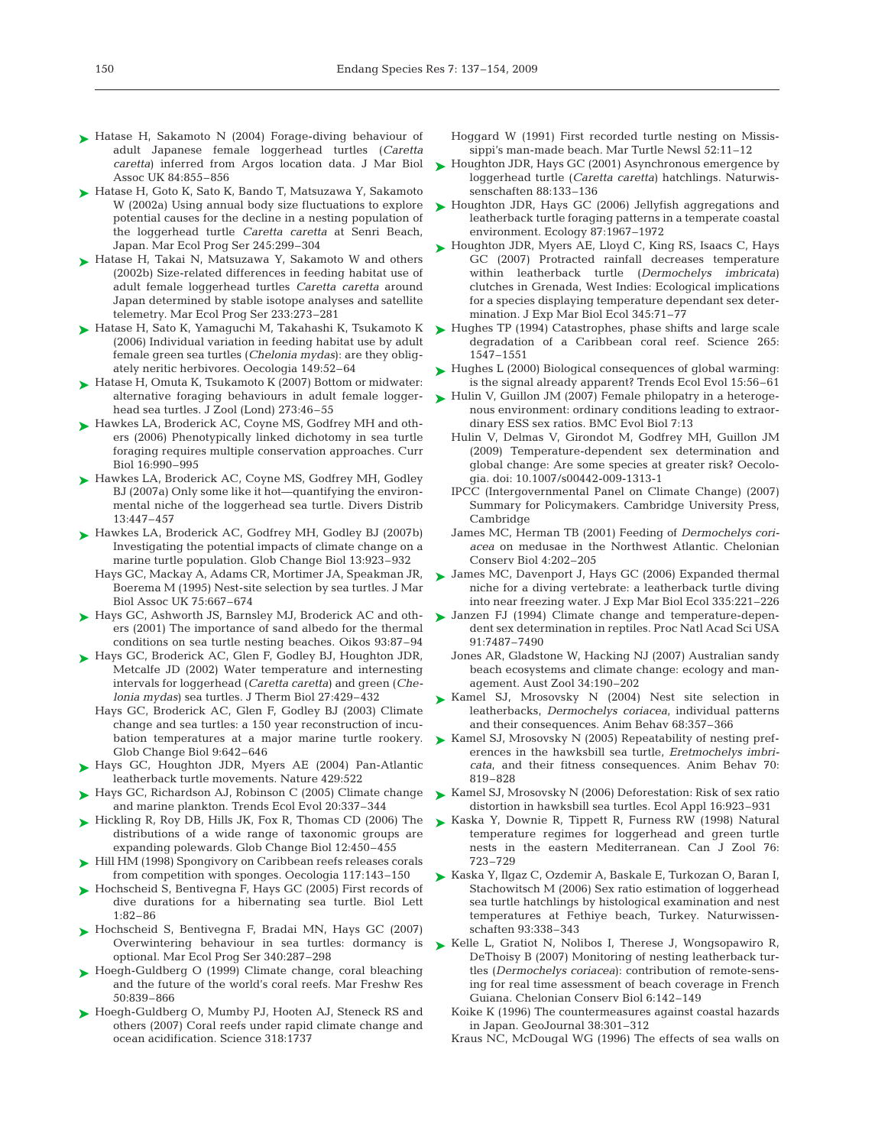- ► Hatase H, Sakamoto N (2004) Forage-diving behaviour of adult Japanese female loggerhead turtles (*Caretta caretta*) inferred from Argos location data. J Mar Biol Assoc UK 84:855–856
- ► Hatase H, Goto K, Sato K, Bando T, Matsuzawa Y, Sakamoto W (2002a) Using annual body size fluctuations to explore potential causes for the decline in a nesting population of the loggerhead turtle *Caretta caretta* at Senri Beach, Japan. Mar Ecol Prog Ser 245:299–304
- ► Hatase H, Takai N, Matsuzawa Y, Sakamoto W and others (2002b) Size-related differences in feeding habitat use of adult female loggerhead turtles *Caretta caretta* around Japan determined by stable isotope analyses and satellite telemetry. Mar Ecol Prog Ser 233:273–281
- ► Hatase H, Sato K, Yamaguchi M, Takahashi K, Tsukamoto K (2006) Individual variation in feeding habitat use by adult female green sea turtles (*Chelonia mydas*): are they obligately neritic herbivores. Oecologia 149:52–64
- ► Hatase H, Omuta K, Tsukamoto K (2007) Bottom or midwater: alternative foraging behaviours in adult female loggerhead sea turtles. J Zool (Lond) 273:46–55
- ► Hawkes LA, Broderick AC, Coyne MS, Godfrey MH and others (2006) Phenotypically linked dichotomy in sea turtle foraging requires multiple conservation approaches. Curr Biol 16:990–995
- ► Hawkes LA, Broderick AC, Coyne MS, Godfrey MH, Godley BJ (2007a) Only some like it hot—quantifying the environmental niche of the loggerhead sea turtle. Divers Distrib 13:447–457
- ► Hawkes LA, Broderick AC, Godfrey MH, Godley BJ (2007b) Investigating the potential impacts of climate change on a marine turtle population. Glob Change Biol 13:923–932
	- Hays GC, Mackay A, Adams CR, Mortimer JA, Speakman JR, Boerema M (1995) Nest-site selection by sea turtles. J Mar Biol Assoc UK 75:667–674
- ► Hays GC, Ashworth JS, Barnsley MJ, Broderick AC and others (2001) The importance of sand albedo for the thermal conditions on sea turtle nesting beaches. Oikos 93:87–94
- ► Hays GC, Broderick AC, Glen F, Godley BJ, Houghton JDR, Metcalfe JD (2002) Water temperature and internesting intervals for loggerhead (*Caretta caretta*) and green (*Chelonia mydas*) sea turtles. J Therm Biol 27:429–432
	- Hays GC, Broderick AC, Glen F, Godley BJ (2003) Climate change and sea turtles: a 150 year reconstruction of incubation temperatures at a major marine turtle rookery. Glob Change Biol 9:642–646
- ► Hays GC, Houghton JDR, Myers AE (2004) Pan-Atlantic leatherback turtle movements. Nature 429:522
- ► Hays GC, Richardson AJ, Robinson C (2005) Climate change and marine plankton. Trends Ecol Evol 20:337–344
- ► Hickling R, Roy DB, Hills JK, Fox R, Thomas CD (2006) The distributions of a wide range of taxonomic groups are expanding polewards. Glob Change Biol 12:450–455
- ► Hill HM (1998) Spongivory on Caribbean reefs releases corals from competition with sponges. Oecologia 117:143–150
- ► Hochscheid S, Bentivegna F, Hays GC (2005) First records of dive durations for a hibernating sea turtle. Biol Lett 1:82–86
- ▶ Hochscheid S, Bentivegna F, Bradai MN, Hays GC (2007) Overwintering behaviour in sea turtles: dormancy is optional. Mar Ecol Prog Ser 340:287–298
- ► Hoegh-Guldberg O (1999) Climate change, coral bleaching and the future of the world's coral reefs. Mar Freshw Res 50:839–866
- ► Hoegh-Guldberg O, Mumby PJ, Hooten AJ, Steneck RS and others (2007) Coral reefs under rapid climate change and ocean acidification. Science 318:1737
- Hoggard W (1991) First recorded turtle nesting on Mississippi's man-made beach. Mar Turtle Newsl 52:11–12
- ► Houghton JDR, Hays GC (2001) Asynchronous emergence by loggerhead turtle (*Caretta caretta*) hatchlings. Naturwissenschaften 88:133–136
- ► Houghton JDR, Hays GC (2006) Jellyfish aggregations and leatherback turtle foraging patterns in a temperate coastal environment. Ecology 87:1967–1972
- ► Houghton JDR, Myers AE, Lloyd C, King RS, Isaacs C, Hays GC (2007) Protracted rainfall decreases temperature within leatherback turtle (*Dermochelys imbricata*) clutches in Grenada, West Indies: Ecological implications for a species displaying temperature dependant sex determination. J Exp Mar Biol Ecol 345:71–77
- $\blacktriangleright$  Hughes TP (1994) Catastrophes, phase shifts and large scale degradation of a Caribbean coral reef. Science 265: 1547–1551
- ► Hughes L (2000) Biological consequences of global warming: is the signal already apparent? Trends Ecol Evol 15:56–61
- ► Hulin V, Guillon JM (2007) Female philopatry in a heterogenous environment: ordinary conditions leading to extraordinary ESS sex ratios. BMC Evol Biol 7:13
	- Hulin V, Delmas V, Girondot M, Godfrey MH, Guillon JM (2009) Temperature-dependent sex determination and global change: Are some species at greater risk? Oecologia. doi: 10.1007/s00442-009-1313-1
	- IPCC (Intergovernmental Panel on Climate Change) (2007) Summary for Policymakers. Cambridge University Press, Cambridge
	- James MC, Herman TB (2001) Feeding of *Dermochelys coriacea* on medusae in the Northwest Atlantic. Chelonian Conserv Biol 4:202–205
- ▶ James MC, Davenport J, Hays GC (2006) Expanded thermal niche for a diving vertebrate: a leatherback turtle diving into near freezing water. J Exp Mar Biol Ecol 335:221–226
- ▶ Janzen FJ (1994) Climate change and temperature-dependent sex determination in reptiles. Proc Natl Acad Sci USA 91:7487–7490
	- Jones AR, Gladstone W, Hacking NJ (2007) Australian sandy beach ecosystems and climate change: ecology and management. Aust Zool 34:190–202
- Kamel SJ, Mrosovsky N (2004) Nest site selection in ➤ leatherbacks, *Dermochelys coriacea*, individual patterns and their consequences. Anim Behav 68:357–366
- ► Kamel SJ, Mrosovsky N (2005) Repeatability of nesting preferences in the hawksbill sea turtle, *Eretmochelys imbricata*, and their fitness consequences. Anim Behav 70: 819–828
- ► Kamel SJ, Mrosovsky N (2006) Deforestation: Risk of sex ratio distortion in hawksbill sea turtles. Ecol Appl 16:923–931
- ► Kaska Y, Downie R, Tippett R, Furness RW (1998) Natural temperature regimes for loggerhead and green turtle nests in the eastern Mediterranean. Can J Zool 76: 723–729
- ► Kaska Y, Ilgaz C, Ozdemir A, Baskale E, Turkozan O, Baran I, Stachowitsch M (2006) Sex ratio estimation of loggerhead sea turtle hatchlings by histological examination and nest temperatures at Fethiye beach, Turkey. Naturwissenschaften 93:338–343
- ▶ Kelle L, Gratiot N, Nolibos I, Therese J, Wongsopawiro R, DeThoisy B (2007) Monitoring of nesting leatherback turtles (*Dermochelys coriacea*): contribution of remote-sensing for real time assessment of beach coverage in French Guiana. Chelonian Conserv Biol 6:142–149
	- Koike K (1996) The countermeasures against coastal hazards in Japan. GeoJournal 38:301–312
	- Kraus NC, McDougal WG (1996) The effects of sea walls on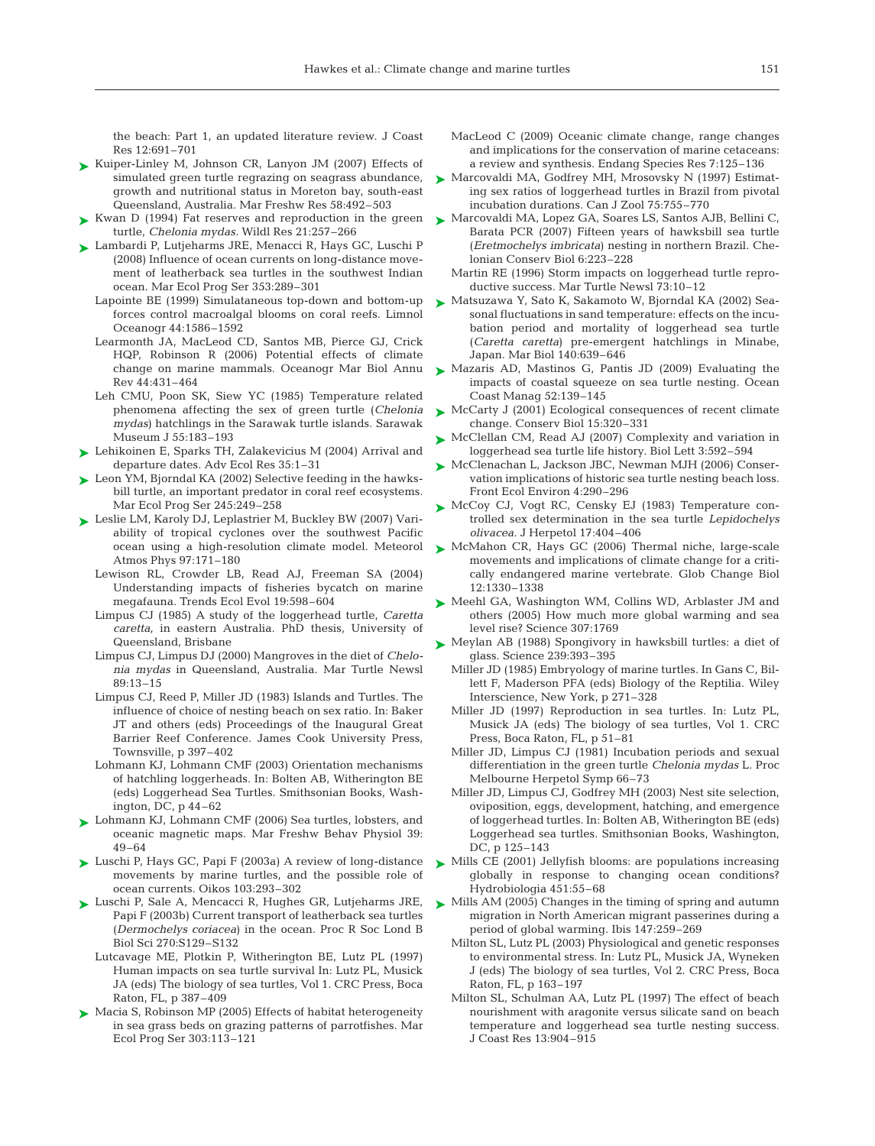the beach: Part 1, an updated literature review. J Coast Res 12:691–701

- ► Kuiper-Linley M, Johnson CR, Lanyon JM (2007) Effects of simulated green turtle regrazing on seagrass abundance, growth and nutritional status in Moreton bay, south-east Queensland, Australia. Mar Freshw Res 58:492–503
- ► Kwan D (1994) Fat reserves and reproduction in the green turtle, *Chelonia mydas.* Wildl Res 21:257–266
- ► Lambardi P, Lutjeharms JRE, Menacci R, Hays GC, Luschi P (2008) Influence of ocean currents on long-distance movement of leatherback sea turtles in the southwest Indian ocean. Mar Ecol Prog Ser 353:289–301
	- Lapointe BE (1999) Simulataneous top-down and bottom-up forces control macroalgal blooms on coral reefs. Limnol Oceanogr 44:1586–1592
	- Learmonth JA, MacLeod CD, Santos MB, Pierce GJ, Crick HQP, Robinson R (2006) Potential effects of climate change on marine mammals. Oceanogr Mar Biol Annu Rev 44:431–464
	- Leh CMU, Poon SK, Siew YC (1985) Temperature related phenomena affecting the sex of green turtle (*Chelonia mydas*) hatchlings in the Sarawak turtle islands. Sarawak Museum J 55:183–193
- ► Lehikoinen E, Sparks TH, Zalakevicius M (2004) Arrival and departure dates. Adv Ecol Res 35:1–31
- ► Leon YM, Bjorndal KA (2002) Selective feeding in the hawksbill turtle, an important predator in coral reef ecosystems. Mar Ecol Prog Ser 245:249–258
- ► Leslie LM, Karoly DJ, Leplastrier M, Buckley BW (2007) Variability of tropical cyclones over the southwest Pacific ocean using a high-resolution climate model. Meteorol Atmos Phys 97:171–180
	- Lewison RL, Crowder LB, Read AJ, Freeman SA (2004) Understanding impacts of fisheries bycatch on marine megafauna. Trends Ecol Evol 19:598–604
	- Limpus CJ (1985) A study of the loggerhead turtle, *Caretta caretta,* in eastern Australia. PhD thesis, University of Queensland, Brisbane
	- Limpus CJ, Limpus DJ (2000) Mangroves in the diet of *Chelonia mydas* in Queensland, Australia. Mar Turtle Newsl 89:13–15
	- Limpus CJ, Reed P, Miller JD (1983) Islands and Turtles. The influence of choice of nesting beach on sex ratio. In: Baker JT and others (eds) Proceedings of the Inaugural Great Barrier Reef Conference. James Cook University Press, Townsville, p 397–402
	- Lohmann KJ, Lohmann CMF (2003) Orientation mechanisms of hatchling loggerheads. In: Bolten AB, Witherington BE (eds) Loggerhead Sea Turtles. Smithsonian Books, Washington, DC, p 44–62
- ► Lohmann KJ, Lohmann CMF (2006) Sea turtles, lobsters, and oceanic magnetic maps. Mar Freshw Behav Physiol 39: 49–64
- Luschi P, Hays GC, Papi F (2003a) A review of long-distance ➤ movements by marine turtles, and the possible role of ocean currents. Oikos 103:293–302
- ► Luschi P, Sale A, Mencacci R, Hughes GR, Lutjeharms JRE, Papi F (2003b) Current transport of leatherback sea turtles (*Dermochelys coriacea*) in the ocean. Proc R Soc Lond B Biol Sci 270:S129–S132
	- Lutcavage ME, Plotkin P, Witherington BE, Lutz PL (1997) Human impacts on sea turtle survival In: Lutz PL, Musick JA (eds) The biology of sea turtles, Vol 1. CRC Press, Boca Raton, FL, p 387–409
- ► Macia S, Robinson MP (2005) Effects of habitat heterogeneity in sea grass beds on grazing patterns of parrotfishes. Mar Ecol Prog Ser 303:113–121
- MacLeod C (2009) Oceanic climate change, range changes and implications for the conservation of marine cetaceans: a review and synthesis. Endang Species Res 7:125–136
- ► Marcovaldi MA, Godfrey MH, Mrosovsky N (1997) Estimating sex ratios of loggerhead turtles in Brazil from pivotal incubation durations. Can J Zool 75:755–770
- ► Marcovaldi MA, Lopez GA, Soares LS, Santos AJB, Bellini C, Barata PCR (2007) Fifteen years of hawksbill sea turtle (*Eretmochelys imbricata*) nesting in northern Brazil. Chelonian Conserv Biol 6:223–228
	- Martin RE (1996) Storm impacts on loggerhead turtle reproductive success. Mar Turtle Newsl 73:10–12
- Matsuzawa Y, Sato K, Sakamoto W, Bjorndal KA (2002) Sea-➤ sonal fluctuations in sand temperature: effects on the incubation period and mortality of loggerhead sea turtle (*Caretta caretta*) pre-emergent hatchlings in Minabe, Japan. Mar Biol 140:639–646
- ► Mazaris AD, Mastinos G, Pantis JD (2009) Evaluating the impacts of coastal squeeze on sea turtle nesting. Ocean Coast Manag 52:139–145
- ► McCarty J (2001) Ecological consequences of recent climate change. Conserv Biol 15:320–331
- ► McClellan CM, Read AJ (2007) Complexity and variation in loggerhead sea turtle life history. Biol Lett 3:592–594
- ► McClenachan L, Jackson JBC, Newman MJH (2006) Conservation implications of historic sea turtle nesting beach loss. Front Ecol Environ 4:290–296
- ► McCoy CJ, Vogt RC, Censky EJ (1983) Temperature controlled sex determination in the sea turtle *Lepidochelys olivacea.* J Herpetol 17:404–406
- ► McMahon CR, Hays GC (2006) Thermal niche, large-scale movements and implications of climate change for a critically endangered marine vertebrate. Glob Change Biol 12:1330–1338
- ▶ Meehl GA, Washington WM, Collins WD, Arblaster JM and others (2005) How much more global warming and sea level rise? Science 307:1769
- ▶ Meylan AB (1988) Spongivory in hawksbill turtles: a diet of glass. Science 239:393–395
	- Miller JD (1985) Embryology of marine turtles. In Gans C, Billett F, Maderson PFA (eds) Biology of the Reptilia. Wiley Interscience, New York, p 271–328
	- Miller JD (1997) Reproduction in sea turtles. In: Lutz PL, Musick JA (eds) The biology of sea turtles, Vol 1. CRC Press, Boca Raton, FL, p 51–81
	- Miller JD, Limpus CJ (1981) Incubation periods and sexual differentiation in the green turtle *Chelonia mydas* L. Proc Melbourne Herpetol Symp 66–73
	- Miller JD, Limpus CJ, Godfrey MH (2003) Nest site selection, oviposition, eggs, development, hatching, and emergence of loggerhead turtles. In: Bolten AB, Witherington BE (eds) Loggerhead sea turtles. Smithsonian Books, Washington, DC, p 125–143
- ► Mills CE (2001) Jellyfish blooms: are populations increasing globally in response to changing ocean conditions? Hydrobiologia 451:55–68
- ► Mills AM (2005) Changes in the timing of spring and autumn migration in North American migrant passerines during a period of global warming. Ibis 147:259–269
	- Milton SL, Lutz PL (2003) Physiological and genetic responses to environmental stress. In: Lutz PL, Musick JA, Wyneken J (eds) The biology of sea turtles, Vol 2. CRC Press, Boca Raton, FL, p 163–197
	- Milton SL, Schulman AA, Lutz PL (1997) The effect of beach nourishment with aragonite versus silicate sand on beach temperature and loggerhead sea turtle nesting success. J Coast Res 13:904–915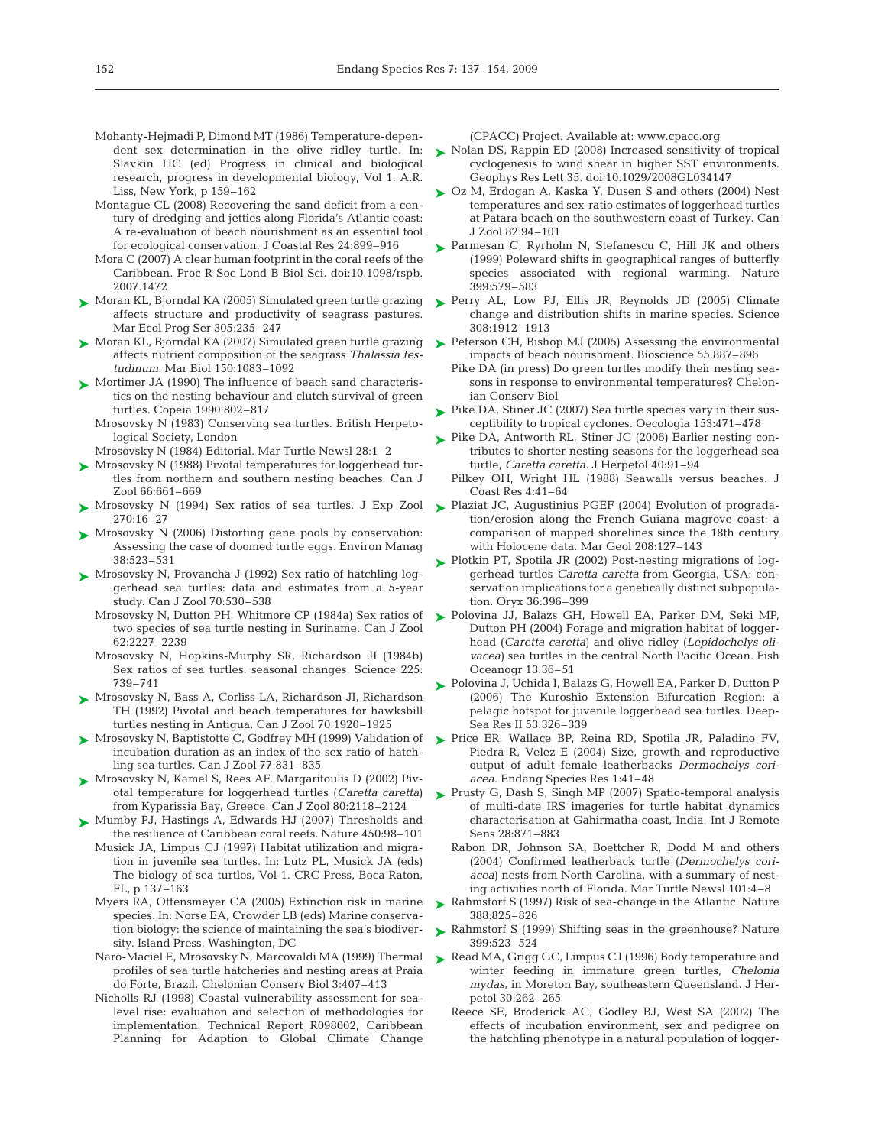- Mohanty-Hejmadi P, Dimond MT (1986) Temperature-dependent sex determination in the olive ridley turtle. In: Slavkin HC (ed) Progress in clinical and biological research, progress in developmental biology, Vol 1. A.R. Liss, New York, p 159–162
- Montague CL (2008) Recovering the sand deficit from a century of dredging and jetties along Florida's Atlantic coast: A re-evaluation of beach nourishment as an essential tool for ecological conservation. J Coastal Res 24:899–916
- Mora C (2007) A clear human footprint in the coral reefs of the Caribbean. Proc R Soc Lond B Biol Sci. doi:10.1098/rspb. 2007.1472
- ► Moran KL, Bjorndal KA (2005) Simulated green turtle grazing ► Perry AL, Low PJ, Ellis JR, Reynolds JD (2005) Climate affects structure and productivity of seagrass pastures. Mar Ecol Prog Ser 305:235–247
- ► Moran KL, Bjorndal KA (2007) Simulated green turtle grazing affects nutrient composition of the seagrass *Thalassia testudinum.* Mar Biol 150:1083–1092
- ► Mortimer JA (1990) The influence of beach sand characteristics on the nesting behaviour and clutch survival of green turtles. Copeia 1990:802–817
	- Mrosovsky N (1983) Conserving sea turtles. British Herpetological Society, London
	- Mrosovsky N (1984) Editorial. Mar Turtle Newsl 28:1–2
- ► Mrosovsky N (1988) Pivotal temperatures for loggerhead turtles from northern and southern nesting beaches. Can J Zool 66:661–669
- ► Mrosovsky N (1994) Sex ratios of sea turtles. J Exp Zool 270:16–27
- ► Mrosovsky N (2006) Distorting gene pools by conservation: Assessing the case of doomed turtle eggs. Environ Manag 38:523–531
- ► Mrosovsky N, Provancha J (1992) Sex ratio of hatchling loggerhead sea turtles: data and estimates from a 5-year study. Can J Zool 70:530–538
	- Mrosovsky N, Dutton PH, Whitmore CP (1984a) Sex ratios of two species of sea turtle nesting in Suriname. Can J Zool 62:2227–2239
	- Mrosovsky N, Hopkins-Murphy SR, Richardson JI (1984b) Sex ratios of sea turtles: seasonal changes. Science 225: 739–741
- ► Mrosovsky N, Bass A, Corliss LA, Richardson JI, Richardson TH (1992) Pivotal and beach temperatures for hawksbill turtles nesting in Antigua. Can J Zool 70:1920–1925
- ► Mrosovsky N, Baptistotte C, Godfrey MH (1999) Validation of incubation duration as an index of the sex ratio of hatchling sea turtles. Can J Zool 77:831–835
- ► Mrosovsky N, Kamel S, Rees AF, Margaritoulis D (2002) Pivotal temperature for loggerhead turtles (*Caretta caretta*) from Kyparissia Bay, Greece. Can J Zool 80:2118–2124
- ► Mumby PJ, Hastings A, Edwards HJ (2007) Thresholds and the resilience of Caribbean coral reefs. Nature 450:98–101
- Musick JA, Limpus CJ (1997) Habitat utilization and migration in juvenile sea turtles. In: Lutz PL, Musick JA (eds) The biology of sea turtles, Vol 1. CRC Press, Boca Raton, FL, p 137–163
- Myers RA, Ottensmeyer CA (2005) Extinction risk in marine species. In: Norse EA, Crowder LB (eds) Marine conservation biology: the science of maintaining the sea's biodiversity. Island Press, Washington, DC
- Naro-Maciel E, Mrosovsky N, Marcovaldi MA (1999) Thermal profiles of sea turtle hatcheries and nesting areas at Praia do Forte, Brazil. Chelonian Conserv Biol 3:407–413
- Nicholls RJ (1998) Coastal vulnerability assessment for sealevel rise: evaluation and selection of methodologies for implementation. Technical Report R098002, Caribbean Planning for Adaption to Global Climate Change

(CPACC) Project. Available at: www.cpacc.org

- ► Nolan DS, Rappin ED (2008) Increased sensitivity of tropical cyclogenesis to wind shear in higher SST environments. Geophys Res Lett 35. doi:10.1029/2008GL034147
- ► Oz M, Erdogan A, Kaska Y, Dusen S and others (2004) Nest temperatures and sex-ratio estimates of loggerhead turtles at Patara beach on the southwestern coast of Turkey. Can J Zool 82:94–101
- ► Parmesan C, Ryrholm N, Stefanescu C, Hill JK and others (1999) Poleward shifts in geographical ranges of butterfly species associated with regional warming. Nature 399:579–583
- change and distribution shifts in marine species. Science 308:1912–1913
- ► Peterson CH, Bishop MJ (2005) Assessing the environmental impacts of beach nourishment. Bioscience 55:887–896
	- Pike DA (in press) Do green turtles modify their nesting seasons in response to environmental temperatures? Chelonian Conserv Biol
- ► Pike DA, Stiner JC (2007) Sea turtle species vary in their susceptibility to tropical cyclones. Oecologia 153:471–478
- ► Pike DA, Antworth RL, Stiner JC (2006) Earlier nesting contributes to shorter nesting seasons for the loggerhead sea turtle, *Caretta caretta.* J Herpetol 40:91–94
	- Pilkey OH, Wright HL (1988) Seawalls versus beaches. J Coast Res 4:41–64
- ► Plaziat JC, Augustinius PGEF (2004) Evolution of progradation/erosion along the French Guiana magrove coast: a comparison of mapped shorelines since the 18th century with Holocene data. Mar Geol 208:127–143
- ► Plotkin PT, Spotila JR (2002) Post-nesting migrations of loggerhead turtles *Caretta caretta* from Georgia, USA: conservation implications for a genetically distinct subpopulation. Oryx 36:396–399
- ▶ Polovina JJ, Balazs GH, Howell EA, Parker DM, Seki MP, Dutton PH (2004) Forage and migration habitat of loggerhead (*Caretta caretta*) and olive ridley (*Lepidochelys olivacea*) sea turtles in the central North Pacific Ocean. Fish Oceanogr 13:36–51
- ► Polovina J, Uchida I, Balazs G, Howell EA, Parker D, Dutton P (2006) The Kuroshio Extension Bifurcation Region: a pelagic hotspot for juvenile loggerhead sea turtles. Deep-Sea Res II 53:326–339
- ► Price ER, Wallace BP, Reina RD, Spotila JR, Paladino FV, Piedra R, Velez E (2004) Size, growth and reproductive output of adult female leatherbacks *Dermochelys coriacea.* Endang Species Res 1:41–48
- ► Prusty G, Dash S, Singh MP (2007) Spatio-temporal analysis of multi-date IRS imageries for turtle habitat dynamics characterisation at Gahirmatha coast, India. Int J Remote Sens 28:871–883
	- Rabon DR, Johnson SA, Boettcher R, Dodd M and others (2004) Confirmed leatherback turtle (*Dermochelys coriacea*) nests from North Carolina, with a summary of nesting activities north of Florida. Mar Turtle Newsl 101:4–8
- ► Rahmstorf S (1997) Risk of sea-change in the Atlantic. Nature 388:825–826
- ▶ Rahmstorf S (1999) Shifting seas in the greenhouse? Nature 399:523–524
- ▶ Read MA, Grigg GC, Limpus CJ (1996) Body temperature and winter feeding in immature green turtles, *Chelonia mydas*, in Moreton Bay, southeastern Queensland. J Herpetol 30:262–265
	- Reece SE, Broderick AC, Godley BJ, West SA (2002) The effects of incubation environment, sex and pedigree on the hatchling phenotype in a natural population of logger-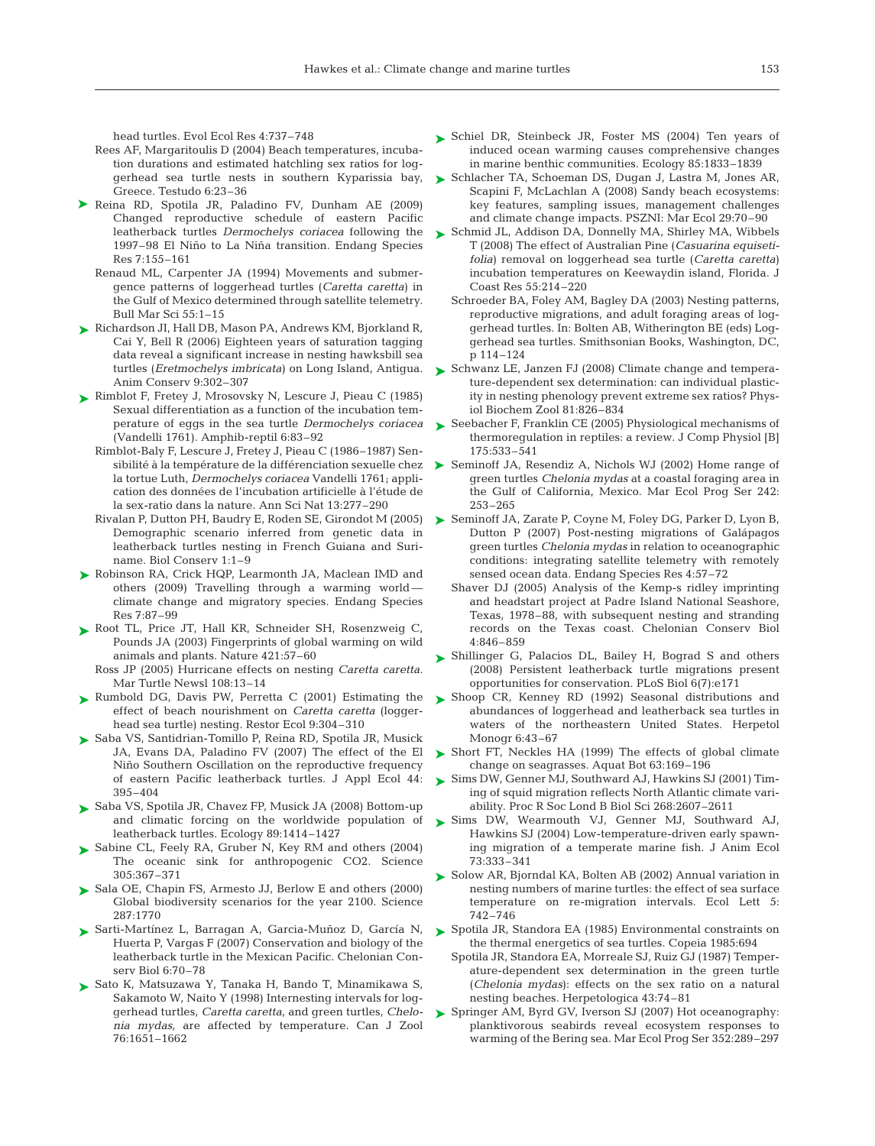head turtles. Evol Ecol Res 4:737–748

- Rees AF, Margaritoulis D (2004) Beach temperatures, incubation durations and estimated hatchling sex ratios for loggerhead sea turtle nests in southern Kyparissia bay, Greece. Testudo 6:23–36
- ▶ Reina RD, Spotila JR, Paladino FV, Dunham AE (2009) Changed reproductive schedule of eastern Pacific leatherback turtles *Dermochelys coriacea* following the 1997–98 El Niño to La Niña transition. Endang Species Res 7:155–161
	- Renaud ML, Carpenter JA (1994) Movements and submergence patterns of loggerhead turtles (*Caretta caretta*) in the Gulf of Mexico determined through satellite telemetry. Bull Mar Sci 55:1–15
- ► Richardson JI, Hall DB, Mason PA, Andrews KM, Bjorkland R, Cai Y, Bell R (2006) Eighteen years of saturation tagging data reveal a significant increase in nesting hawksbill sea turtles (*Eretmochelys imbricata*) on Long Island, Antigua. Anim Conserv 9:302–307
- ► Rimblot F, Fretey J, Mrosovsky N, Lescure J, Pieau C (1985) Sexual differentiation as a function of the incubation temperature of eggs in the sea turtle *Dermochelys coriacea* (Vandelli 1761). Amphib-reptil 6:83–92
	- Rimblot-Baly F, Lescure J, Fretey J, Pieau C (1986–1987) Senla tortue Luth, *Dermochelys coriacea* Vandelli 1761; application des données de l'incubation artificielle à l'étude de la sex-ratio dans la nature. Ann Sci Nat 13:277–290
	- Rivalan P, Dutton PH, Baudry E, Roden SE, Girondot M (2005) Demographic scenario inferred from genetic data in leatherback turtles nesting in French Guiana and Suriname. Biol Conserv 1:1–9
- ▶ Robinson RA, Crick HQP, Learmonth JA, Maclean IMD and others (2009) Travelling through a warming world climate change and migratory species. Endang Species Res 7:87–99
- ▶ Root TL, Price JT, Hall KR, Schneider SH, Rosenzweig C, Pounds JA (2003) Fingerprints of global warming on wild animals and plants. Nature 421:57–60
	- Ross JP (2005) Hurricane effects on nesting *Caretta caretta.* Mar Turtle Newsl 108:13–14
- ▶ Rumbold DG, Davis PW, Perretta C (2001) Estimating the effect of beach nourishment on *Caretta caretta* (loggerhead sea turtle) nesting. Restor Ecol 9:304–310
- ► Saba VS, Santidrian-Tomillo P, Reina RD, Spotila JR, Musick JA, Evans DA, Paladino FV (2007) The effect of the El Niño Southern Oscillation on the reproductive frequency of eastern Pacific leatherback turtles. J Appl Ecol 44: 395–404
- ► Saba VS, Spotila JR, Chavez FP, Musick JA (2008) Bottom-up and climatic forcing on the worldwide population of leatherback turtles. Ecology 89:1414–1427
- ► Sabine CL, Feely RA, Gruber N, Key RM and others (2004) The oceanic sink for anthropogenic CO2. Science 305:367–371
- ► Sala OE, Chapin FS, Armesto JJ, Berlow E and others (2000) Global biodiversity scenarios for the year 2100. Science 287:1770
- ► Sarti-Martínez L, Barragan A, Garcia-Muñoz D, García N, Huerta P, Vargas F (2007) Conservation and biology of the leatherback turtle in the Mexican Pacific. Chelonian Conserv Biol 6:70–78
- ► Sato K, Matsuzawa Y, Tanaka H, Bando T, Minamikawa S, Sakamoto W, Naito Y (1998) Internesting intervals for loggerhead turtles, *Caretta caretta*, and green turtles, *Chelonia mydas*, are affected by temperature. Can J Zool 76:1651–1662
- ▶ Schiel DR, Steinbeck JR, Foster MS (2004) Ten years of induced ocean warming causes comprehensive changes in marine benthic communities. Ecology 85:1833–1839
- ► Schlacher TA, Schoeman DS, Dugan J, Lastra M, Jones AR, Scapini F, McLachlan A (2008) Sandy beach ecosystems: key features, sampling issues, management challenges and climate change impacts. PSZNI: Mar Ecol 29:70–90
- ► Schmid JL, Addison DA, Donnelly MA, Shirley MA, Wibbels T (2008) The effect of Australian Pine (*Casuarina equisetifolia*) removal on loggerhead sea turtle (*Caretta caretta*) incubation temperatures on Keewaydin island, Florida. J Coast Res 55:214–220
	- Schroeder BA, Foley AM, Bagley DA (2003) Nesting patterns, reproductive migrations, and adult foraging areas of loggerhead turtles. In: Bolten AB, Witherington BE (eds) Loggerhead sea turtles. Smithsonian Books, Washington, DC, p 114–124
- ► Schwanz LE, Janzen FJ (2008) Climate change and temperature-dependent sex determination: can individual plasticity in nesting phenology prevent extreme sex ratios? Physiol Biochem Zool 81:826–834
- ► Seebacher F, Franklin CE (2005) Physiological mechanisms of thermoregulation in reptiles: a review. J Comp Physiol [B] 175:533–541
- sibilité à la température de la différenciation sexuelle chez  $\blacktriangleright$  Seminoff JA, Resendiz A, Nichols WJ (2002) Home range of green turtles *Chelonia mydas* at a coastal foraging area in the Gulf of California, Mexico. Mar Ecol Prog Ser 242: 253–265
	- ▶ Seminoff JA, Zarate P, Coyne M, Foley DG, Parker D, Lyon B, Dutton P (2007) Post-nesting migrations of Galápagos green turtles *Chelonia mydas* in relation to oceanographic conditions: integrating satellite telemetry with remotely sensed ocean data. Endang Species Res 4:57–72
		- Shaver DJ (2005) Analysis of the Kemp-s ridley imprinting and headstart project at Padre Island National Seashore, Texas, 1978–88, with subsequent nesting and stranding records on the Texas coast. Chelonian Conserv Biol 4:846–859
	- ► Shillinger G, Palacios DL, Bailey H, Bograd S and others (2008) Persistent leatherback turtle migrations present opportunities for conservation. PLoS Biol 6(7):e171
	- ► Shoop CR, Kenney RD (1992) Seasonal distributions and abundances of loggerhead and leatherback sea turtles in waters of the northeastern United States. Herpetol Monogr 6:43–67
	- ► Short FT, Neckles HA (1999) The effects of global climate change on seagrasses. Aquat Bot 63:169–196
	- ► Sims DW, Genner MJ, Southward AJ, Hawkins SJ (2001) Timing of squid migration reflects North Atlantic climate variability. Proc R Soc Lond B Biol Sci 268:2607–2611
	- ▶ Sims DW, Wearmouth VJ, Genner MJ, Southward AJ, Hawkins SJ (2004) Low-temperature-driven early spawning migration of a temperate marine fish. J Anim Ecol 73:333–341
	- ► Solow AR, Bjorndal KA, Bolten AB (2002) Annual variation in nesting numbers of marine turtles: the effect of sea surface temperature on re-migration intervals. Ecol Lett 5: 742–746
	- ► Spotila JR, Standora EA (1985) Environmental constraints on the thermal energetics of sea turtles. Copeia 1985:694
		- Spotila JR, Standora EA, Morreale SJ, Ruiz GJ (1987) Temperature-dependent sex determination in the green turtle (*Chelonia mydas*): effects on the sex ratio on a natural nesting beaches. Herpetologica 43:74–81
	- ► Springer AM, Byrd GV, Iverson SJ (2007) Hot oceanography: planktivorous seabirds reveal ecosystem responses to warming of the Bering sea. Mar Ecol Prog Ser 352:289–297